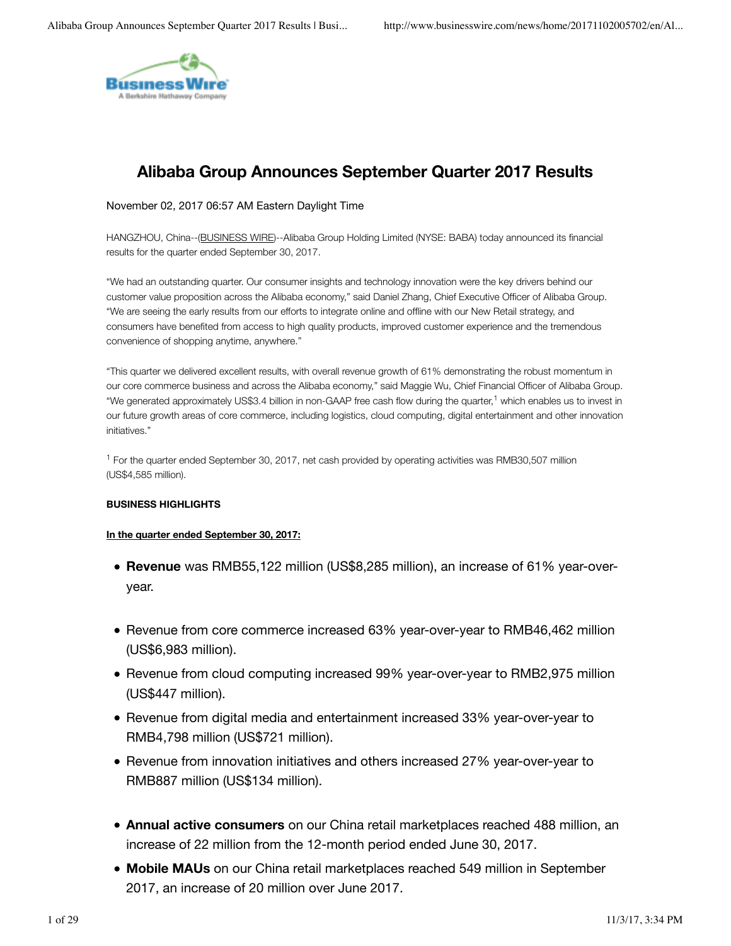

# **Alibaba Group Announces September Quarter 2017 Results**

#### November 02, 2017 06:57 AM Eastern Daylight Time

HANGZHOU, China--(BUSINESS WIRE)--Alibaba Group Holding Limited (NYSE: BABA) today announced its financial results for the quarter ended September 30, 2017.

"We had an outstanding quarter. Our consumer insights and technology innovation were the key drivers behind our customer value proposition across the Alibaba economy," said Daniel Zhang, Chief Executive Officer of Alibaba Group. "We are seeing the early results from our efforts to integrate online and offline with our New Retail strategy, and consumers have benefited from access to high quality products, improved customer experience and the tremendous convenience of shopping anytime, anywhere."

"This quarter we delivered excellent results, with overall revenue growth of 61% demonstrating the robust momentum in our core commerce business and across the Alibaba economy," said Maggie Wu, Chief Financial Officer of Alibaba Group. "We generated approximately US\$3.4 billion in non-GAAP free cash flow during the quarter,<sup>1</sup> which enables us to invest in our future growth areas of core commerce, including logistics, cloud computing, digital entertainment and other innovation initiatives."

<sup>1</sup> For the quarter ended September 30, 2017, net cash provided by operating activities was RMB30,507 million (US\$4,585 million).

#### **BUSINESS HIGHLIGHTS**

#### **In the quarter ended September 30, 2017:**

- **Revenue** was RMB55,122 million (US\$8,285 million), an increase of 61% year-overyear.
- Revenue from core commerce increased 63% year-over-year to RMB46,462 million (US\$6,983 million).
- Revenue from cloud computing increased 99% year-over-year to RMB2,975 million (US\$447 million).
- Revenue from digital media and entertainment increased 33% year-over-year to RMB4,798 million (US\$721 million).
- Revenue from innovation initiatives and others increased 27% year-over-year to RMB887 million (US\$134 million).
- **Annual active consumers** on our China retail marketplaces reached 488 million, an increase of 22 million from the 12-month period ended June 30, 2017.
- **Mobile MAUs** on our China retail marketplaces reached 549 million in September 2017, an increase of 20 million over June 2017.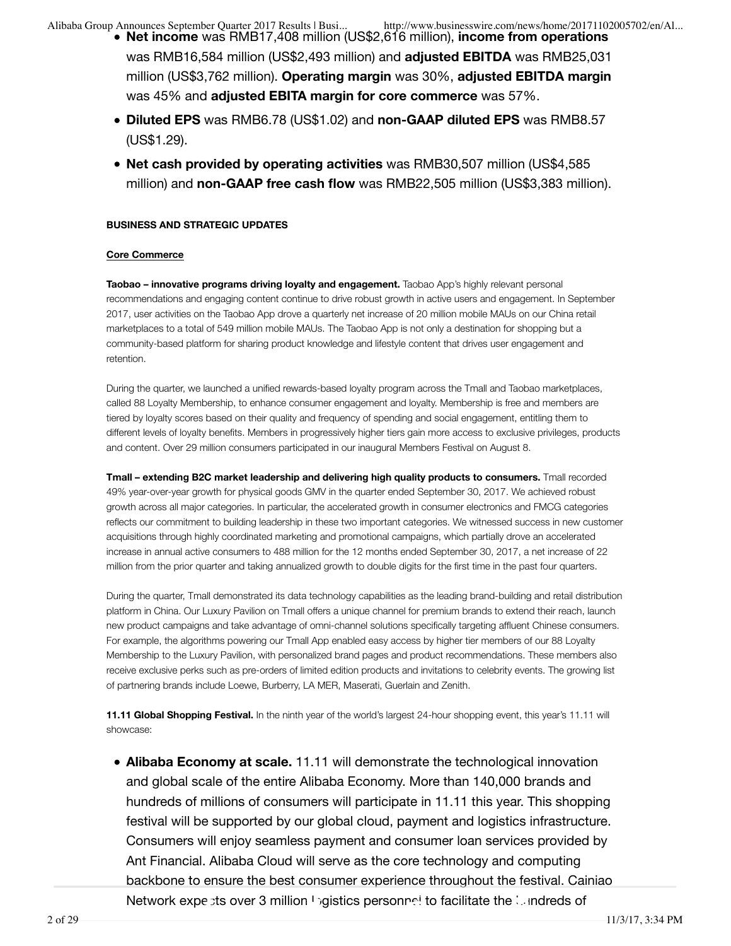- **Net income** was RMB17,408 million (US\$2,616 million), **income from operations** was RMB16,584 million (US\$2,493 million) and **adjusted EBITDA** was RMB25,031 million (US\$3,762 million). **Operating margin** was 30%, **adjusted EBITDA margin** was 45% and **adjusted EBITA margin for core commerce** was 57%.
- **Diluted EPS** was RMB6.78 (US\$1.02) and **non-GAAP diluted EPS** was RMB8.57 (US\$1.29).
- **Net cash provided by operating activities** was RMB30,507 million (US\$4,585 million) and **non-GAAP free cash flow** was RMB22,505 million (US\$3,383 million).

### **BUSINESS AND STRATEGIC UPDATES**

#### **Core Commerce**

**Taobao – innovative programs driving loyalty and engagement.** Taobao App's highly relevant personal recommendations and engaging content continue to drive robust growth in active users and engagement. In September 2017, user activities on the Taobao App drove a quarterly net increase of 20 million mobile MAUs on our China retail marketplaces to a total of 549 million mobile MAUs. The Taobao App is not only a destination for shopping but a community-based platform for sharing product knowledge and lifestyle content that drives user engagement and retention.

During the quarter, we launched a unified rewards-based loyalty program across the Tmall and Taobao marketplaces, called 88 Loyalty Membership, to enhance consumer engagement and loyalty. Membership is free and members are tiered by loyalty scores based on their quality and frequency of spending and social engagement, entitling them to different levels of loyalty benefits. Members in progressively higher tiers gain more access to exclusive privileges, products and content. Over 29 million consumers participated in our inaugural Members Festival on August 8.

**Tmall – extending B2C market leadership and delivering high quality products to consumers.** Tmall recorded 49% year-over-year growth for physical goods GMV in the quarter ended September 30, 2017. We achieved robust growth across all major categories. In particular, the accelerated growth in consumer electronics and FMCG categories reflects our commitment to building leadership in these two important categories. We witnessed success in new customer acquisitions through highly coordinated marketing and promotional campaigns, which partially drove an accelerated increase in annual active consumers to 488 million for the 12 months ended September 30, 2017, a net increase of 22 million from the prior quarter and taking annualized growth to double digits for the first time in the past four quarters.

During the quarter, Tmall demonstrated its data technology capabilities as the leading brand-building and retail distribution platform in China. Our Luxury Pavilion on Tmall offers a unique channel for premium brands to extend their reach, launch new product campaigns and take advantage of omni-channel solutions specifically targeting affluent Chinese consumers. For example, the algorithms powering our Tmall App enabled easy access by higher tier members of our 88 Loyalty Membership to the Luxury Pavilion, with personalized brand pages and product recommendations. These members also receive exclusive perks such as pre-orders of limited edition products and invitations to celebrity events. The growing list of partnering brands include Loewe, Burberry, LA MER, Maserati, Guerlain and Zenith.

**11.11 Global Shopping Festival.** In the ninth year of the world's largest 24-hour shopping event, this year's 11.11 will showcase:

**Alibaba Economy at scale.** 11.11 will demonstrate the technological innovation and global scale of the entire Alibaba Economy. More than 140,000 brands and hundreds of millions of consumers will participate in 11.11 this year. This shopping festival will be supported by our global cloud, payment and logistics infrastructure. Consumers will enjoy seamless payment and consumer loan services provided by Ant Financial. Alibaba Cloud will serve as the core technology and computing backbone to ensure the best consumer experience throughout the festival. Cainiao Network expects over 3 million logistics personnel to facilitate the lundreds of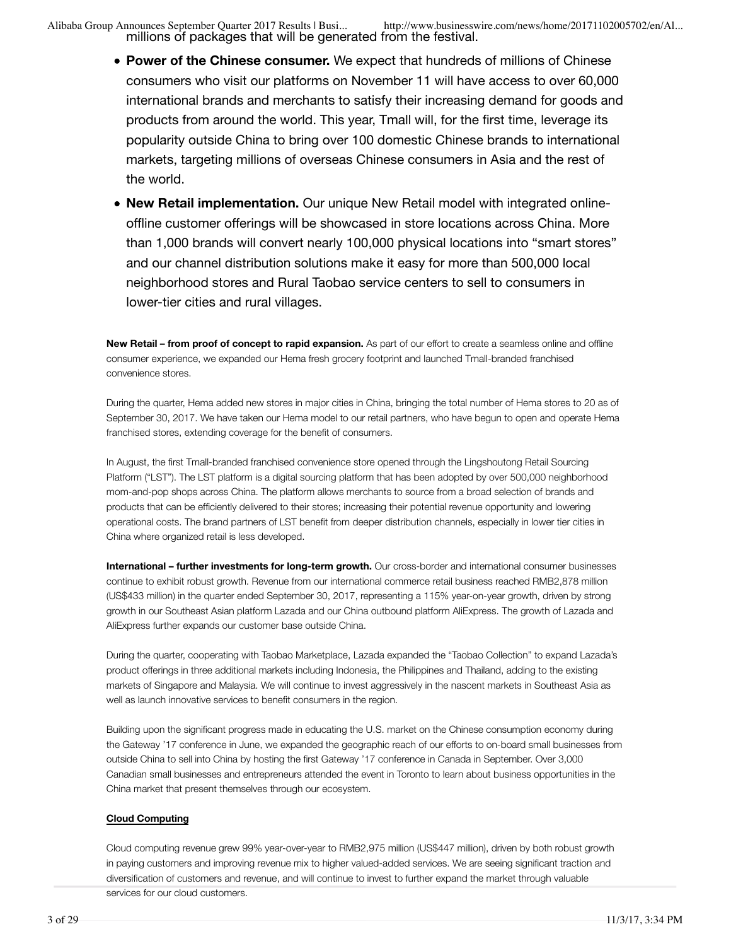millions of packages that will be generated from the festival.

Alibaba Group Announces September Quarter 2017 Results | Busi... http://www.businesswire.com/news/home/20171102005702/en/Al...

- **Power of the Chinese consumer.** We expect that hundreds of millions of Chinese consumers who visit our platforms on November 11 will have access to over 60,000 international brands and merchants to satisfy their increasing demand for goods and products from around the world. This year, Tmall will, for the first time, leverage its popularity outside China to bring over 100 domestic Chinese brands to international markets, targeting millions of overseas Chinese consumers in Asia and the rest of the world.
- **New Retail implementation.** Our unique New Retail model with integrated onlineoffline customer offerings will be showcased in store locations across China. More than 1,000 brands will convert nearly 100,000 physical locations into "smart stores" and our channel distribution solutions make it easy for more than 500,000 local neighborhood stores and Rural Taobao service centers to sell to consumers in lower-tier cities and rural villages.

**New Retail – from proof of concept to rapid expansion.** As part of our effort to create a seamless online and offline consumer experience, we expanded our Hema fresh grocery footprint and launched Tmall-branded franchised convenience stores.

During the quarter, Hema added new stores in major cities in China, bringing the total number of Hema stores to 20 as of September 30, 2017. We have taken our Hema model to our retail partners, who have begun to open and operate Hema franchised stores, extending coverage for the benefit of consumers.

In August, the first Tmall-branded franchised convenience store opened through the Lingshoutong Retail Sourcing Platform ("LST"). The LST platform is a digital sourcing platform that has been adopted by over 500,000 neighborhood mom-and-pop shops across China. The platform allows merchants to source from a broad selection of brands and products that can be efficiently delivered to their stores; increasing their potential revenue opportunity and lowering operational costs. The brand partners of LST benefit from deeper distribution channels, especially in lower tier cities in China where organized retail is less developed.

**International – further investments for long-term growth.** Our cross-border and international consumer businesses continue to exhibit robust growth. Revenue from our international commerce retail business reached RMB2,878 million (US\$433 million) in the quarter ended September 30, 2017, representing a 115% year-on-year growth, driven by strong growth in our Southeast Asian platform Lazada and our China outbound platform AliExpress. The growth of Lazada and AliExpress further expands our customer base outside China.

During the quarter, cooperating with Taobao Marketplace, Lazada expanded the "Taobao Collection" to expand Lazada's product offerings in three additional markets including Indonesia, the Philippines and Thailand, adding to the existing markets of Singapore and Malaysia. We will continue to invest aggressively in the nascent markets in Southeast Asia as well as launch innovative services to benefit consumers in the region.

Building upon the significant progress made in educating the U.S. market on the Chinese consumption economy during the Gateway '17 conference in June, we expanded the geographic reach of our efforts to on-board small businesses from outside China to sell into China by hosting the first Gateway '17 conference in Canada in September. Over 3,000 Canadian small businesses and entrepreneurs attended the event in Toronto to learn about business opportunities in the China market that present themselves through our ecosystem.

#### **Cloud Computing**

Cloud computing revenue grew 99% year-over-year to RMB2,975 million (US\$447 million), driven by both robust growth in paying customers and improving revenue mix to higher valued-added services. We are seeing significant traction and diversification of customers and revenue, and will continue to invest to further expand the market through valuable services for our cloud customers.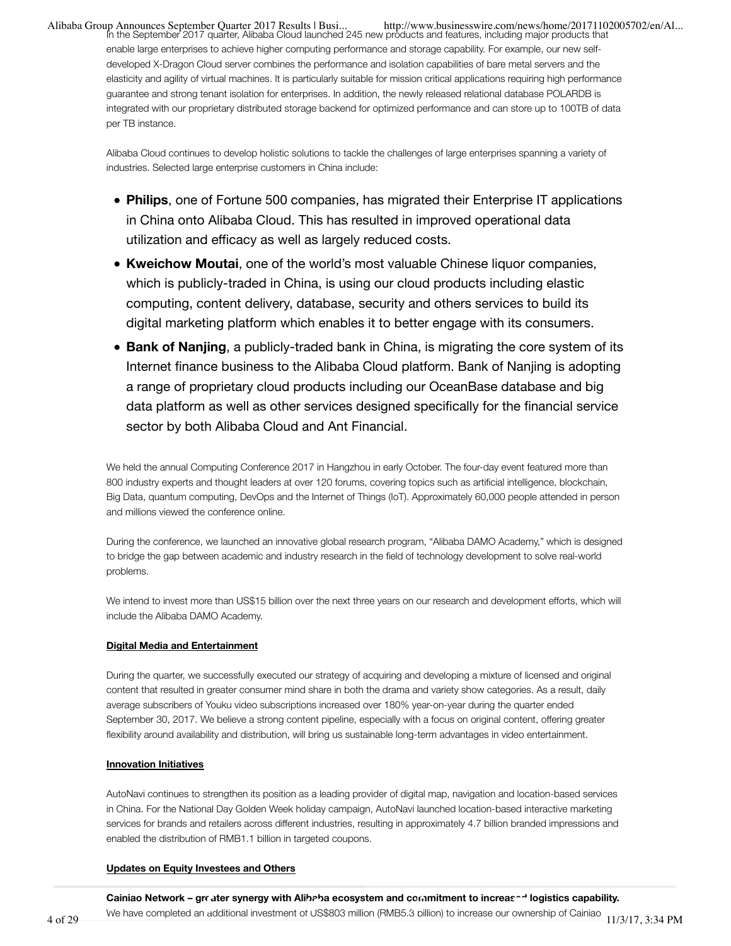...Alibaba Group Announces September Quarter 2017 Results | Busi<br>In the September 2017 quarter, Alibaba Cloud launched 245 new products and features, including major products that enable large enterprises to achieve higher computing performance and storage capability. For example, our new selfdeveloped X-Dragon Cloud server combines the performance and isolation capabilities of bare metal servers and the elasticity and agility of virtual machines. It is particularly suitable for mission critical applications requiring high performance guarantee and strong tenant isolation for enterprises. In addition, the newly released relational database POLARDB is integrated with our proprietary distributed storage backend for optimized performance and can store up to 100TB of data per TB instance.

Alibaba Cloud continues to develop holistic solutions to tackle the challenges of large enterprises spanning a variety of industries. Selected large enterprise customers in China include:

- **Philips**, one of Fortune 500 companies, has migrated their Enterprise IT applications in China onto Alibaba Cloud. This has resulted in improved operational data utilization and efficacy as well as largely reduced costs.
- **Kweichow Moutai**, one of the world's most valuable Chinese liquor companies, which is publicly-traded in China, is using our cloud products including elastic computing, content delivery, database, security and others services to build its digital marketing platform which enables it to better engage with its consumers.
- **Bank of Nanjing**, a publicly-traded bank in China, is migrating the core system of its Internet finance business to the Alibaba Cloud platform. Bank of Nanjing is adopting a range of proprietary cloud products including our OceanBase database and big data platform as well as other services designed specifically for the financial service sector by both Alibaba Cloud and Ant Financial.

We held the annual Computing Conference 2017 in Hangzhou in early October. The four-day event featured more than 800 industry experts and thought leaders at over 120 forums, covering topics such as artificial intelligence, blockchain, Big Data, quantum computing, DevOps and the Internet of Things (IoT). Approximately 60,000 people attended in person and millions viewed the conference online.

During the conference, we launched an innovative global research program, "Alibaba DAMO Academy," which is designed to bridge the gap between academic and industry research in the field of technology development to solve real-world problems.

We intend to invest more than US\$15 billion over the next three years on our research and development efforts, which will include the Alibaba DAMO Academy.

#### **Digital Media and Entertainment**

During the quarter, we successfully executed our strategy of acquiring and developing a mixture of licensed and original content that resulted in greater consumer mind share in both the drama and variety show categories. As a result, daily average subscribers of Youku video subscriptions increased over 180% year-on-year during the quarter ended September 30, 2017. We believe a strong content pipeline, especially with a focus on original content, offering greater flexibility around availability and distribution, will bring us sustainable long-term advantages in video entertainment.

#### **Innovation Initiatives**

AutoNavi continues to strengthen its position as a leading provider of digital map, navigation and location-based services in China. For the National Day Golden Week holiday campaign, AutoNavi launched location-based interactive marketing services for brands and retailers across different industries, resulting in approximately 4.7 billion branded impressions and enabled the distribution of RMB1.1 billion in targeted coupons.

#### **Updates on Equity Investees and Others**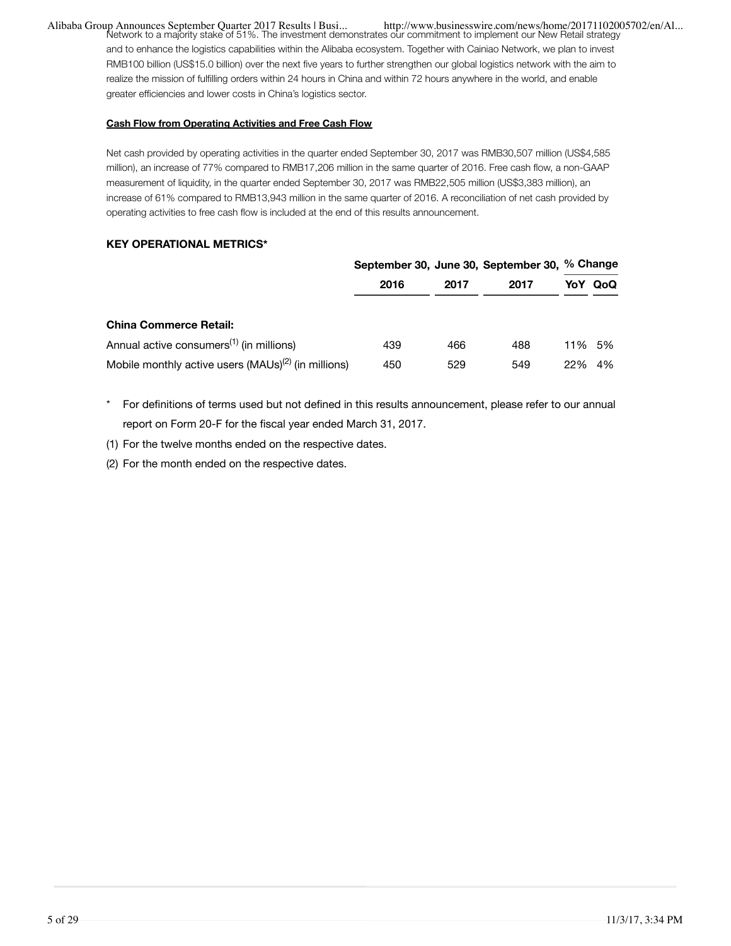...Alibaba Group Announces September Quarter 2017 Results | Busi<br>Network to a majority stake of 51%. The investment demonstrates our commitment to implement our New Retail strategy and to enhance the logistics capabilities within the Alibaba ecosystem. Together with Cainiao Network, we plan to invest RMB100 billion (US\$15.0 billion) over the next five years to further strengthen our global logistics network with the aim to realize the mission of fulfilling orders within 24 hours in China and within 72 hours anywhere in the world, and enable greater efficiencies and lower costs in China's logistics sector.

#### **Cash Flow from Operating Activities and Free Cash Flow**

Net cash provided by operating activities in the quarter ended September 30, 2017 was RMB30,507 million (US\$4,585 million), an increase of 77% compared to RMB17,206 million in the same quarter of 2016. Free cash flow, a non-GAAP measurement of liquidity, in the quarter ended September 30, 2017 was RMB22,505 million (US\$3,383 million), an increase of 61% compared to RMB13,943 million in the same quarter of 2016. A reconciliation of net cash provided by operating activities to free cash flow is included at the end of this results announcement.

#### **KEY OPERATIONAL METRICS\***

|                                                          |      |      | September 30, June 30, September 30, % Change |        |     |
|----------------------------------------------------------|------|------|-----------------------------------------------|--------|-----|
|                                                          | 2016 | 2017 | 2017                                          | YoY    | QoQ |
| <b>China Commerce Retail:</b>                            |      |      |                                               |        |     |
| Annual active consumers <sup>(1)</sup> (in millions)     | 439  | 466  | 488                                           | 11% 5% |     |
| Mobile monthly active users $(MAUS)^{(2)}$ (in millions) | 450  | 529  | 549                                           | 22%    | 4%  |

\* For definitions of terms used but not defined in this results announcement, please refer to our annual report on Form 20-F for the fiscal year ended March 31, 2017.

(1) For the twelve months ended on the respective dates.

(2) For the month ended on the respective dates.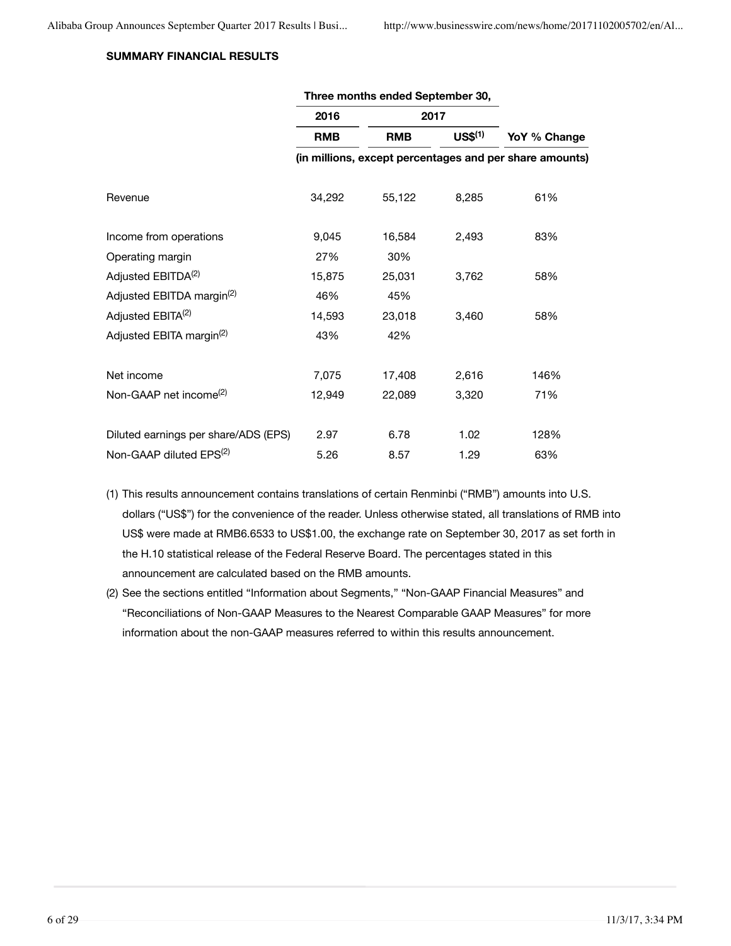## **SUMMARY FINANCIAL RESULTS**

|                                       | 2016       | 2017       |                   |                                                         |  |
|---------------------------------------|------------|------------|-------------------|---------------------------------------------------------|--|
|                                       | <b>RMB</b> | <b>RMB</b> | US <sup>(1)</sup> | YoY % Change                                            |  |
|                                       |            |            |                   | (in millions, except percentages and per share amounts) |  |
| Revenue                               | 34,292     | 55,122     | 8,285             | 61%                                                     |  |
| Income from operations                | 9,045      | 16,584     | 2,493             | 83%                                                     |  |
| Operating margin                      | 27%        | 30%        |                   |                                                         |  |
| Adjusted EBITDA <sup>(2)</sup>        | 15,875     | 25,031     | 3,762             | 58%                                                     |  |
| Adjusted EBITDA margin <sup>(2)</sup> | 46%        | 45%        |                   |                                                         |  |
| Adjusted EBITA <sup>(2)</sup>         | 14,593     | 23,018     | 3,460             | 58%                                                     |  |
| Adjusted EBITA margin <sup>(2)</sup>  | 43%        | 42%        |                   |                                                         |  |
| Net income                            | 7,075      | 17,408     | 2,616             | 146%                                                    |  |
| Non-GAAP net income <sup>(2)</sup>    | 12,949     | 22,089     | 3,320             | 71%                                                     |  |
| Diluted earnings per share/ADS (EPS)  | 2.97       | 6.78       | 1.02              | 128%                                                    |  |
| Non-GAAP diluted EPS <sup>(2)</sup>   | 5.26       | 8.57       | 1.29              | 63%                                                     |  |

**Three months ended September 30,**

- (1) This results announcement contains translations of certain Renminbi ("RMB") amounts into U.S. dollars ("US\$") for the convenience of the reader. Unless otherwise stated, all translations of RMB into US\$ were made at RMB6.6533 to US\$1.00, the exchange rate on September 30, 2017 as set forth in the H.10 statistical release of the Federal Reserve Board. The percentages stated in this announcement are calculated based on the RMB amounts.
- (2) See the sections entitled "Information about Segments," "Non-GAAP Financial Measures" and "Reconciliations of Non-GAAP Measures to the Nearest Comparable GAAP Measures" for more information about the non-GAAP measures referred to within this results announcement.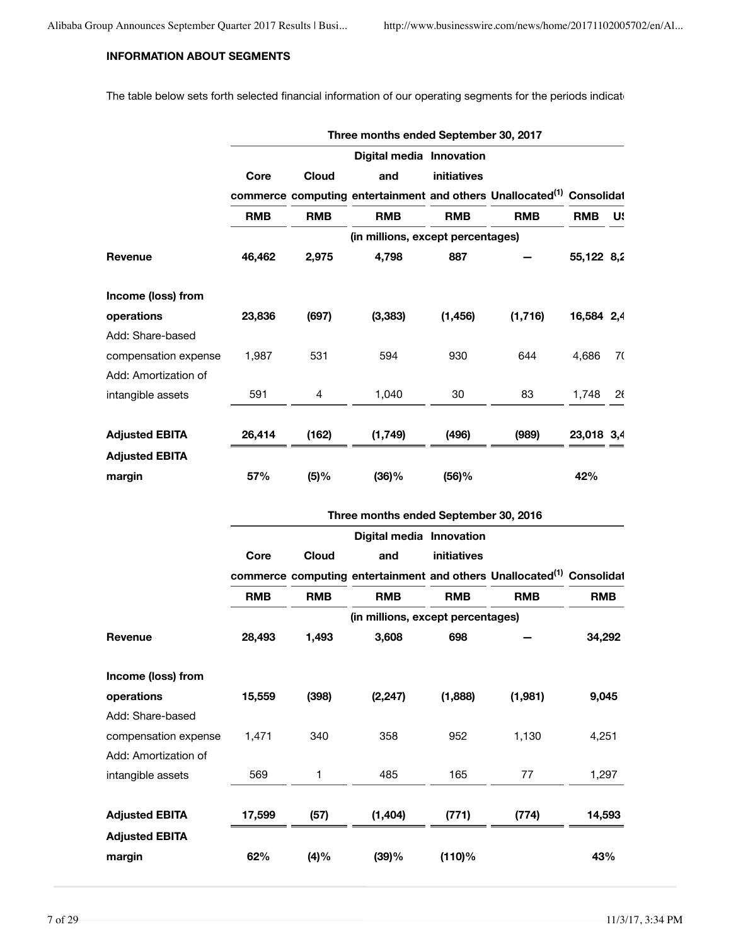## **INFORMATION ABOUT SEGMENTS**

The table below sets forth selected financial information of our operating segments for the periods indicate

|                       |            |              | Three months ended September 30, 2017                                             |             |            |            |    |
|-----------------------|------------|--------------|-----------------------------------------------------------------------------------|-------------|------------|------------|----|
|                       |            |              | Digital media Innovation                                                          |             |            |            |    |
|                       | Core       | <b>Cloud</b> | and                                                                               | initiatives |            |            |    |
|                       |            |              | commerce computing entertainment and others Unallocated <sup>(1)</sup> Consolidat |             |            |            |    |
|                       | <b>RMB</b> | <b>RMB</b>   | <b>RMB</b>                                                                        | <b>RMB</b>  | <b>RMB</b> | <b>RMB</b> | U. |
|                       |            |              | (in millions, except percentages)                                                 |             |            |            |    |
| Revenue               | 46,462     | 2,975        | 4,798                                                                             | 887         |            | 55,122 8,2 |    |
| Income (loss) from    |            |              |                                                                                   |             |            |            |    |
| operations            | 23,836     | (697)        | (3, 383)                                                                          | (1, 456)    | (1,716)    | 16,584 2,4 |    |
| Add: Share-based      |            |              |                                                                                   |             |            |            |    |
| compensation expense  | 1,987      | 531          | 594                                                                               | 930         | 644        | 4,686      | 70 |
| Add: Amortization of  |            |              |                                                                                   |             |            |            |    |
| intangible assets     | 591        | 4            | 1,040                                                                             | 30          | 83         | 1,748      | 26 |
| <b>Adjusted EBITA</b> | 26,414     | (162)        | (1, 749)                                                                          | (496)       | (989)      | 23,018 3,4 |    |
| <b>Adjusted EBITA</b> |            |              |                                                                                   |             |            |            |    |
| margin                | 57%        | (5)%         | (36)%                                                                             | (56)%       |            | 42%        |    |
|                       |            |              | Three months ended September 30, 2016                                             |             |            |            |    |
|                       |            |              | Digital media Innovation                                                          |             |            |            |    |
|                       | Core       | <b>Cloud</b> | and                                                                               | initiatives |            |            |    |
|                       |            |              | commerce computing entertainment and others Unallocated <sup>(1)</sup> Consolidat |             |            |            |    |
|                       | <b>RMB</b> | <b>RMB</b>   | <b>RMB</b>                                                                        | <b>RMB</b>  | <b>RMB</b> | <b>RMB</b> |    |
|                       |            |              | (in millions, except percentages)                                                 |             |            |            |    |
| Revenue               | 28,493     | 1,493        | 3,608                                                                             | 698         |            | 34,292     |    |
| Income (loss) from    |            |              |                                                                                   |             |            |            |    |
| operations            | 15,559     | (398)        | (2, 247)                                                                          | (1,888)     | (1,981)    | 9,045      |    |
| Add: Share-based      |            |              |                                                                                   |             |            |            |    |
| compensation expense  | 1,471      | 340          | 358                                                                               | 952         | 1,130      | 4,251      |    |
| Add: Amortization of  |            |              |                                                                                   |             |            |            |    |
| intangible assets     | 569        | 1            | 485                                                                               | 165         | 77         | 1,297      |    |
|                       |            |              |                                                                                   |             |            |            |    |
| <b>Adjusted EBITA</b> | 17,599     | (57)         | (1, 404)                                                                          | (771)       | (774)      | 14,593     |    |
| <b>Adjusted EBITA</b> |            |              |                                                                                   |             |            |            |    |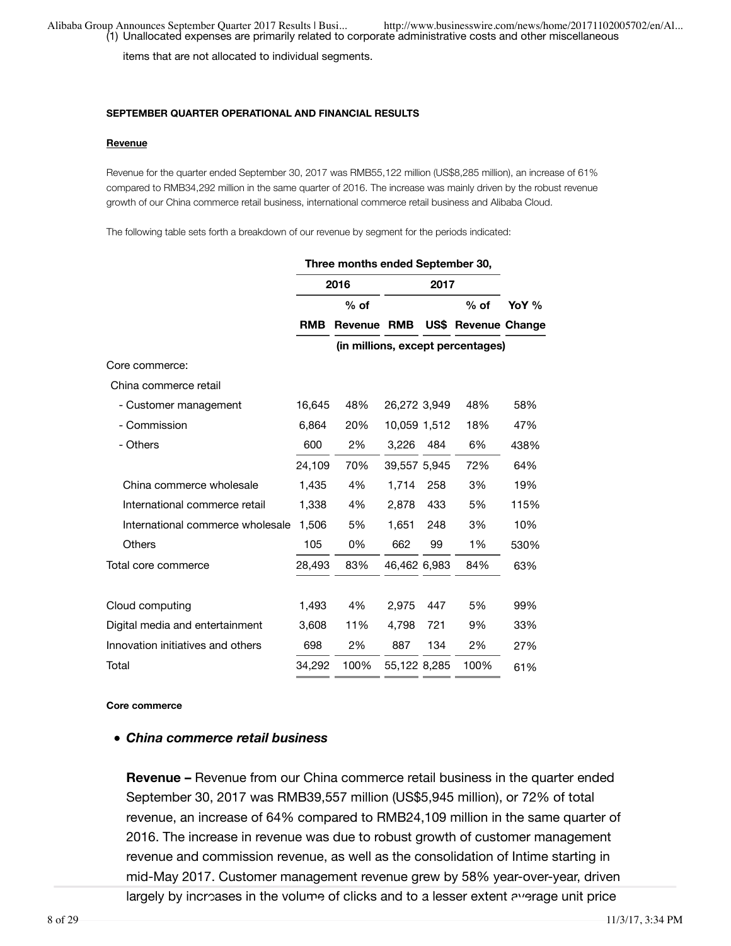items that are not allocated to individual segments.

#### **SEPTEMBER QUARTER OPERATIONAL AND FINANCIAL RESULTS**

#### **Revenue**

Revenue for the quarter ended September 30, 2017 was RMB55,122 million (US\$8,285 million), an increase of 61% compared to RMB34,292 million in the same quarter of 2016. The increase was mainly driven by the robust revenue growth of our China commerce retail business, international commerce retail business and Alibaba Cloud.

The following table sets forth a breakdown of our revenue by segment for the periods indicated:

|                                   | Three months ended September 30, |                    |              |      |                                   |       |
|-----------------------------------|----------------------------------|--------------------|--------------|------|-----------------------------------|-------|
|                                   |                                  | 2016               |              | 2017 |                                   |       |
|                                   |                                  | $%$ of             |              |      | $%$ of                            | YoY % |
|                                   | <b>RMB</b>                       | <b>Revenue RMB</b> |              |      | US\$ Revenue Change               |       |
|                                   |                                  |                    |              |      | (in millions, except percentages) |       |
| Core commerce:                    |                                  |                    |              |      |                                   |       |
| China commerce retail             |                                  |                    |              |      |                                   |       |
| - Customer management             | 16,645                           | 48%                | 26,272 3,949 |      | 48%                               | 58%   |
| - Commission                      | 6,864                            | 20%                | 10,059 1,512 |      | 18%                               | 47%   |
| - Others                          | 600                              | 2%                 | 3,226        | 484  | 6%                                | 438%  |
|                                   | 24,109                           | 70%                | 39,557 5,945 |      | 72%                               | 64%   |
| China commerce wholesale          | 1,435                            | 4%                 | 1.714        | 258  | 3%                                | 19%   |
| International commerce retail     | 1,338                            | 4%                 | 2,878        | 433  | 5%                                | 115%  |
| International commerce wholesale  | 1,506                            | 5%                 | 1,651        | 248  | 3%                                | 10%   |
| <b>Others</b>                     | 105                              | 0%                 | 662          | 99   | 1%                                | 530%  |
| Total core commerce               | 28,493                           | 83%                | 46,462 6,983 |      | 84%                               | 63%   |
| Cloud computing                   | 1.493                            | 4%                 | 2.975        | 447  | 5%                                | 99%   |
| Digital media and entertainment   | 3,608                            | 11%                | 4.798        | 721  | 9%                                | 33%   |
| Innovation initiatives and others | 698                              | 2%                 | 887          | 134  | 2%                                | 27%   |
| Total                             | 34,292                           | 100%               | 55,122 8,285 |      | 100%                              | 61%   |

**Core commerce**

### *China commerce retail business*

**Revenue –** Revenue from our China commerce retail business in the quarter ended September 30, 2017 was RMB39,557 million (US\$5,945 million), or 72% of total revenue, an increase of 64% compared to RMB24,109 million in the same quarter of 2016. The increase in revenue was due to robust growth of customer management revenue and commission revenue, as well as the consolidation of Intime starting in mid-May 2017. Customer management revenue grew by 58% year-over-year, driven largely by increases in the volume of clicks and to a lesser extent average unit price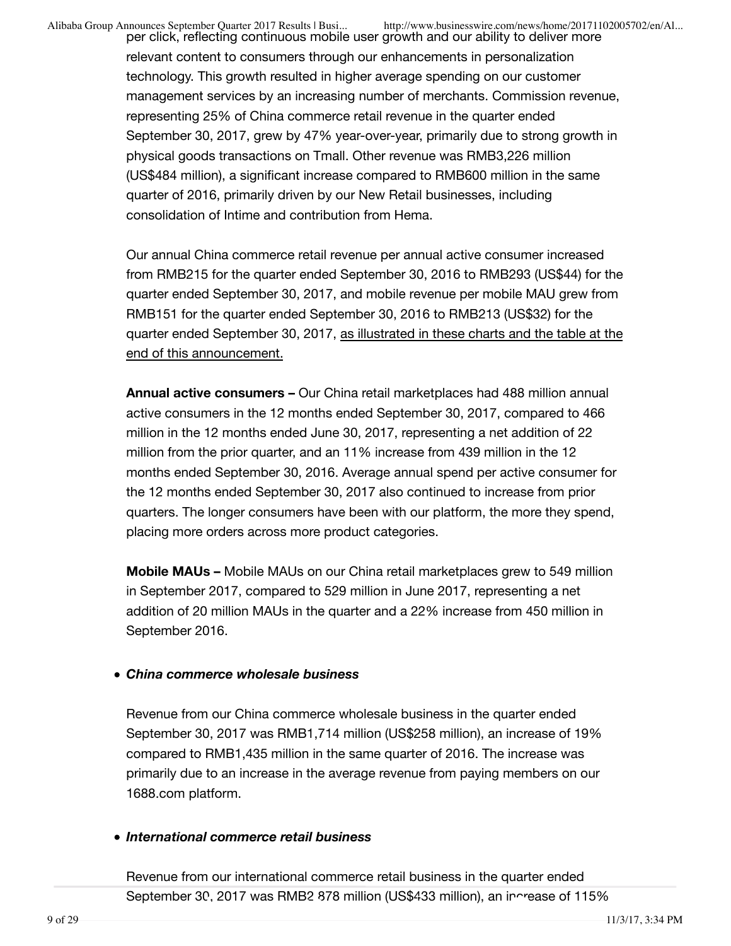per click, reflecting continuous mobile user growth and our ability to deliver more relevant content to consumers through our enhancements in personalization technology. This growth resulted in higher average spending on our customer management services by an increasing number of merchants. Commission revenue, representing 25% of China commerce retail revenue in the quarter ended September 30, 2017, grew by 47% year-over-year, primarily due to strong growth in physical goods transactions on Tmall. Other revenue was RMB3,226 million (US\$484 million), a significant increase compared to RMB600 million in the same quarter of 2016, primarily driven by our New Retail businesses, including consolidation of Intime and contribution from Hema.

Our annual China commerce retail revenue per annual active consumer increased from RMB215 for the quarter ended September 30, 2016 to RMB293 (US\$44) for the quarter ended September 30, 2017, and mobile revenue per mobile MAU grew from RMB151 for the quarter ended September 30, 2016 to RMB213 (US\$32) for the quarter ended September 30, 2017, as illustrated in these charts and the table at the end of this announcement.

**Annual active consumers –** Our China retail marketplaces had 488 million annual active consumers in the 12 months ended September 30, 2017, compared to 466 million in the 12 months ended June 30, 2017, representing a net addition of 22 million from the prior quarter, and an 11% increase from 439 million in the 12 months ended September 30, 2016. Average annual spend per active consumer for the 12 months ended September 30, 2017 also continued to increase from prior quarters. The longer consumers have been with our platform, the more they spend, placing more orders across more product categories.

**Mobile MAUs –** Mobile MAUs on our China retail marketplaces grew to 549 million in September 2017, compared to 529 million in June 2017, representing a net addition of 20 million MAUs in the quarter and a 22% increase from 450 million in September 2016.

### *China commerce wholesale business*

Revenue from our China commerce wholesale business in the quarter ended September 30, 2017 was RMB1,714 million (US\$258 million), an increase of 19% compared to RMB1,435 million in the same quarter of 2016. The increase was primarily due to an increase in the average revenue from paying members on our 1688.com platform.

### *International commerce retail business*

Revenue from our international commerce retail business in the quarter ended September 30, 2017 was RMB2 878 million (US\$433 million), an increase of 115%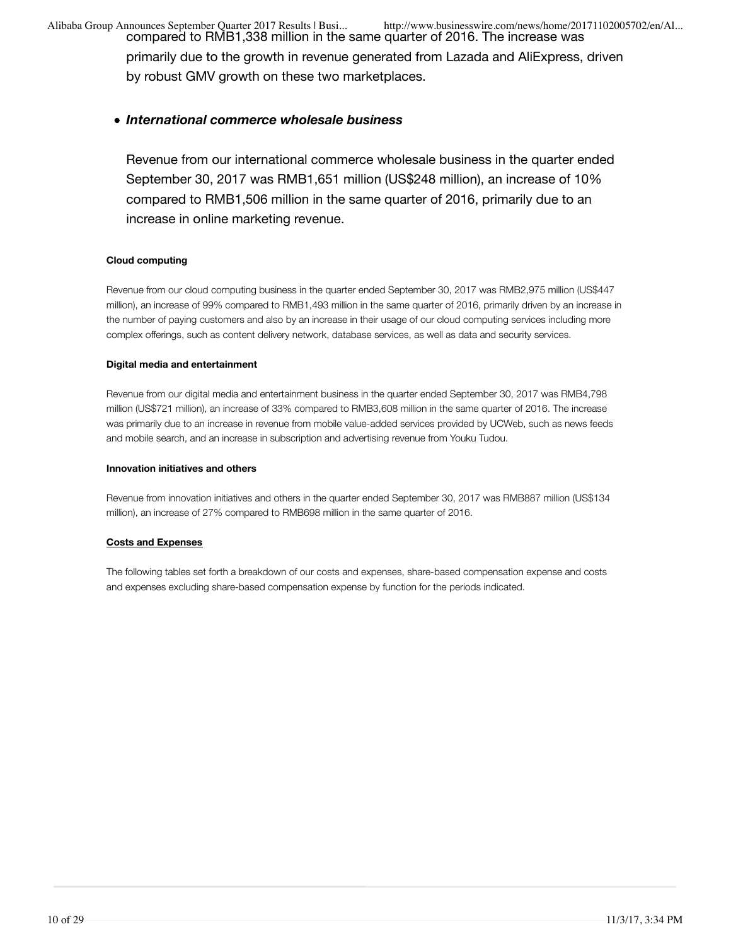compared to RMB1,338 million in the same quarter of 2016. The increase was primarily due to the growth in revenue generated from Lazada and AliExpress, driven by robust GMV growth on these two marketplaces.

### *International commerce wholesale business*

Revenue from our international commerce wholesale business in the quarter ended September 30, 2017 was RMB1,651 million (US\$248 million), an increase of 10% compared to RMB1,506 million in the same quarter of 2016, primarily due to an increase in online marketing revenue.

#### **Cloud computing**

Revenue from our cloud computing business in the quarter ended September 30, 2017 was RMB2,975 million (US\$447 million), an increase of 99% compared to RMB1,493 million in the same quarter of 2016, primarily driven by an increase in the number of paying customers and also by an increase in their usage of our cloud computing services including more complex offerings, such as content delivery network, database services, as well as data and security services.

### **Digital media and entertainment**

Revenue from our digital media and entertainment business in the quarter ended September 30, 2017 was RMB4,798 million (US\$721 million), an increase of 33% compared to RMB3,608 million in the same quarter of 2016. The increase was primarily due to an increase in revenue from mobile value-added services provided by UCWeb, such as news feeds and mobile search, and an increase in subscription and advertising revenue from Youku Tudou.

#### **Innovation initiatives and others**

Revenue from innovation initiatives and others in the quarter ended September 30, 2017 was RMB887 million (US\$134 million), an increase of 27% compared to RMB698 million in the same quarter of 2016.

### **Costs and Expenses**

The following tables set forth a breakdown of our costs and expenses, share-based compensation expense and costs and expenses excluding share-based compensation expense by function for the periods indicated.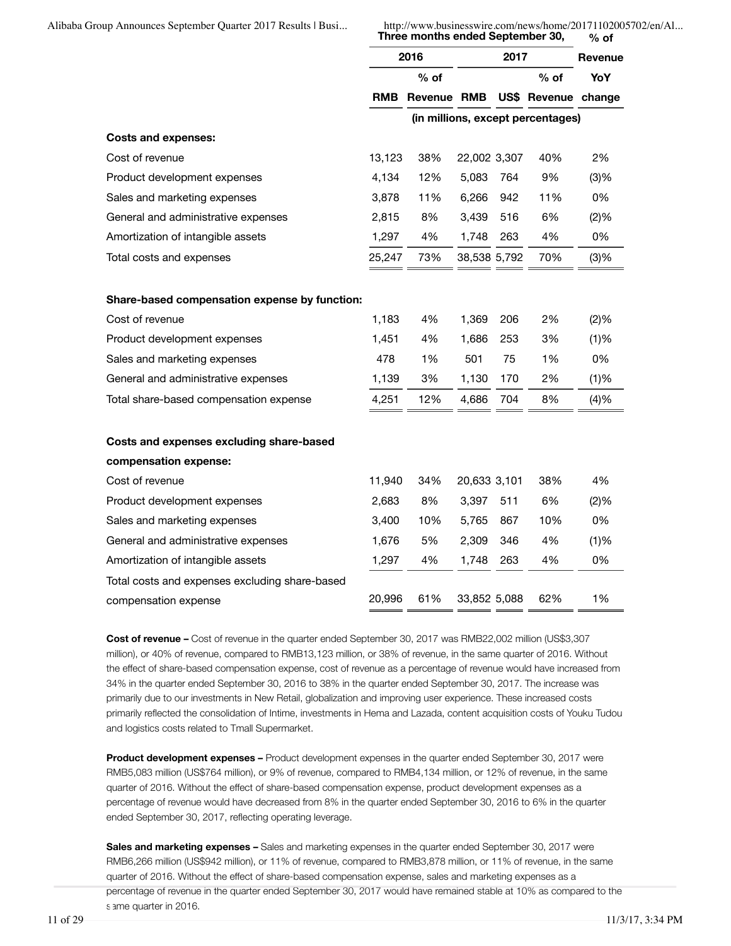**Three months ended September 30, % of**

|                                                | 2016       |         | 2017         |     |                                   | Revenue |
|------------------------------------------------|------------|---------|--------------|-----|-----------------------------------|---------|
|                                                | $%$ of     |         |              |     | $%$ of                            | YoY     |
|                                                | <b>RMB</b> | Revenue | RMB          |     | US\$ Revenue change               |         |
|                                                |            |         |              |     | (in millions, except percentages) |         |
| <b>Costs and expenses:</b>                     |            |         |              |     |                                   |         |
| Cost of revenue                                | 13,123     | 38%     | 22,002 3,307 |     | 40%                               | 2%      |
| Product development expenses                   | 4,134      | 12%     | 5,083        | 764 | 9%                                | (3)%    |
| Sales and marketing expenses                   | 3,878      | 11%     | 6,266        | 942 | 11%                               | 0%      |
| General and administrative expenses            | 2,815      | 8%      | 3,439        | 516 | 6%                                | (2)%    |
| Amortization of intangible assets              | 1,297      | 4%      | 1,748        | 263 | 4%                                | 0%      |
| Total costs and expenses                       | 25,247     | 73%     | 38,538 5,792 |     | 70%                               | (3)%    |
|                                                |            |         |              |     |                                   |         |
| Share-based compensation expense by function:  |            |         |              |     |                                   |         |
| Cost of revenue                                | 1,183      | 4%      | 1,369        | 206 | 2%                                | (2)%    |
| Product development expenses                   | 1,451      | 4%      | 1,686        | 253 | 3%                                | (1)%    |
| Sales and marketing expenses                   | 478        | 1%      | 501          | 75  | 1%                                | 0%      |
| General and administrative expenses            | 1,139      | 3%      | 1,130        | 170 | 2%                                | (1)%    |
| Total share-based compensation expense         | 4,251      | 12%     | 4,686        | 704 | 8%                                | (4)%    |
| Costs and expenses excluding share-based       |            |         |              |     |                                   |         |
| compensation expense:                          |            |         |              |     |                                   |         |
| Cost of revenue                                | 11,940     | 34%     | 20,633 3,101 |     | 38%                               | 4%      |
| Product development expenses                   | 2,683      | 8%      | 3,397        | 511 | 6%                                | (2)%    |
| Sales and marketing expenses                   | 3,400      | 10%     | 5,765        | 867 | 10%                               | 0%      |
| General and administrative expenses            | 1,676      | 5%      | 2,309        | 346 | 4%                                | (1)%    |
| Amortization of intangible assets              | 1,297      | 4%      | 1,748        | 263 | 4%                                | 0%      |
| Total costs and expenses excluding share-based |            |         |              |     |                                   |         |
| compensation expense                           | 20,996     | 61%     | 33,852 5,088 |     | 62%                               | 1%      |
|                                                |            |         |              |     |                                   |         |

**Cost of revenue –** Cost of revenue in the quarter ended September 30, 2017 was RMB22,002 million (US\$3,307 million), or 40% of revenue, compared to RMB13,123 million, or 38% of revenue, in the same quarter of 2016. Without the effect of share-based compensation expense, cost of revenue as a percentage of revenue would have increased from 34% in the quarter ended September 30, 2016 to 38% in the quarter ended September 30, 2017. The increase was primarily due to our investments in New Retail, globalization and improving user experience. These increased costs primarily reflected the consolidation of Intime, investments in Hema and Lazada, content acquisition costs of Youku Tudou and logistics costs related to Tmall Supermarket.

**Product development expenses –** Product development expenses in the quarter ended September 30, 2017 were RMB5,083 million (US\$764 million), or 9% of revenue, compared to RMB4,134 million, or 12% of revenue, in the same quarter of 2016. Without the effect of share-based compensation expense, product development expenses as a percentage of revenue would have decreased from 8% in the quarter ended September 30, 2016 to 6% in the quarter ended September 30, 2017, reflecting operating leverage.

**Sales and marketing expenses –** Sales and marketing expenses in the quarter ended September 30, 2017 were RMB6,266 million (US\$942 million), or 11% of revenue, compared to RMB3,878 million, or 11% of revenue, in the same quarter of 2016. Without the effect of share-based compensation expense, sales and marketing expenses as a percentage of revenue in the quarter ended September 30, 2017 would have remained stable at 10% as compared to the same quarter in 2016.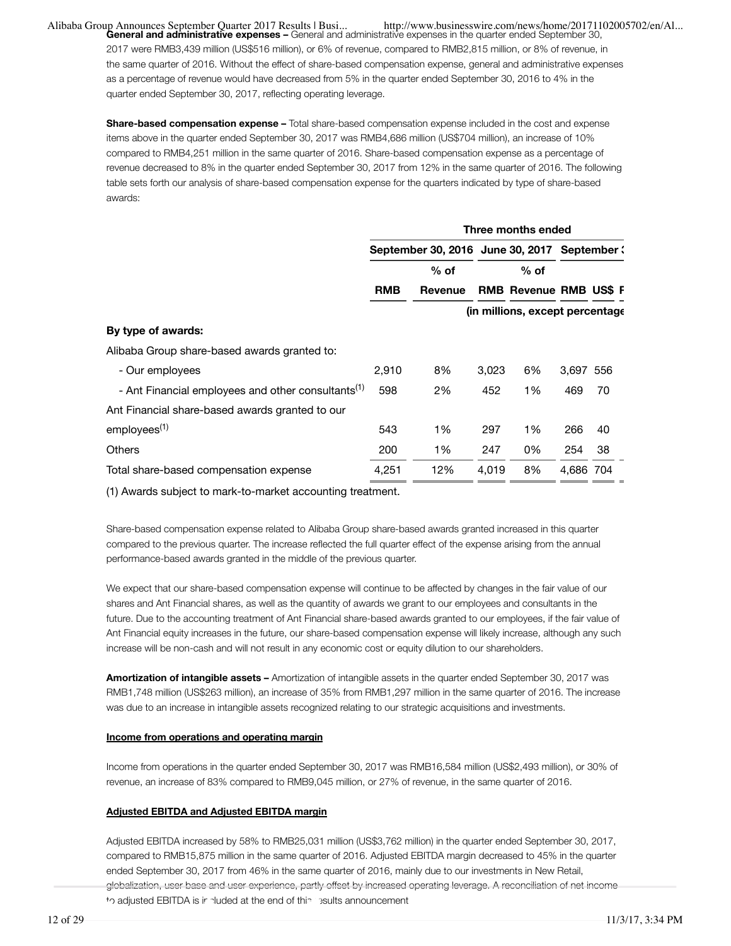**General and administrative expenses –** General and administrative expenses in the quarter ended September 30, 2017 were RMB3,439 million (US\$516 million), or 6% of revenue, compared to RMB2,815 million, or 8% of revenue, in the same quarter of 2016. Without the effect of share-based compensation expense, general and administrative expenses as a percentage of revenue would have decreased from 5% in the quarter ended September 30, 2016 to 4% in the quarter ended September 30, 2017, reflecting operating leverage.

**Share-based compensation expense –** Total share-based compensation expense included in the cost and expense items above in the quarter ended September 30, 2017 was RMB4,686 million (US\$704 million), an increase of 10% compared to RMB4,251 million in the same quarter of 2016. Share-based compensation expense as a percentage of revenue decreased to 8% in the quarter ended September 30, 2017 from 12% in the same quarter of 2016. The following table sets forth our analysis of share-based compensation expense for the quarters indicated by type of share-based awards:

|                                                                | Three months ended                           |         |       |                                 |           |    |
|----------------------------------------------------------------|----------------------------------------------|---------|-------|---------------------------------|-----------|----|
|                                                                | September 30, 2016 June 30, 2017 September ( |         |       |                                 |           |    |
|                                                                |                                              | $%$ of  |       | $%$ of                          |           |    |
|                                                                | <b>RMB</b>                                   | Revenue |       | <b>RMB Revenue RMB US\$ F</b>   |           |    |
|                                                                |                                              |         |       | (in millions, except percentage |           |    |
| By type of awards:                                             |                                              |         |       |                                 |           |    |
| Alibaba Group share-based awards granted to:                   |                                              |         |       |                                 |           |    |
| - Our employees                                                | 2,910                                        | 8%      | 3,023 | 6%                              | 3,697 556 |    |
| - Ant Financial employees and other consultants <sup>(1)</sup> | 598                                          | 2%      | 452   | 1%                              | 469       | 70 |
| Ant Financial share-based awards granted to our                |                                              |         |       |                                 |           |    |
| employees <sup>(1)</sup>                                       | 543                                          | 1%      | 297   | 1%                              | 266       | 40 |
| <b>Others</b>                                                  | 200                                          | 1%      | 247   | 0%                              | 254       | 38 |
| Total share-based compensation expense                         | 4,251                                        | 12%     | 4,019 | 8%                              | 4,686 704 |    |

(1) Awards subject to mark-to-market accounting treatment.

Share-based compensation expense related to Alibaba Group share-based awards granted increased in this quarter compared to the previous quarter. The increase reflected the full quarter effect of the expense arising from the annual performance-based awards granted in the middle of the previous quarter.

We expect that our share-based compensation expense will continue to be affected by changes in the fair value of our shares and Ant Financial shares, as well as the quantity of awards we grant to our employees and consultants in the future. Due to the accounting treatment of Ant Financial share-based awards granted to our employees, if the fair value of Ant Financial equity increases in the future, our share-based compensation expense will likely increase, although any such increase will be non-cash and will not result in any economic cost or equity dilution to our shareholders.

**Amortization of intangible assets –** Amortization of intangible assets in the quarter ended September 30, 2017 was RMB1,748 million (US\$263 million), an increase of 35% from RMB1,297 million in the same quarter of 2016. The increase was due to an increase in intangible assets recognized relating to our strategic acquisitions and investments.

#### **Income from operations and operating margin**

Income from operations in the quarter ended September 30, 2017 was RMB16,584 million (US\$2,493 million), or 30% of revenue, an increase of 83% compared to RMB9,045 million, or 27% of revenue, in the same quarter of 2016.

#### **Adjusted EBITDA and Adjusted EBITDA margin**

Adjusted EBITDA increased by 58% to RMB25,031 million (US\$3,762 million) in the quarter ended September 30, 2017, compared to RMB15,875 million in the same quarter of 2016. Adjusted EBITDA margin decreased to 45% in the quarter ended September 30, 2017 from 46% in the same quarter of 2016, mainly due to our investments in New Retail, globalization, user base and user experience, partly offset by increased operating leverage. A reconciliation of net income to adjusted EBITDA is included at the end of this results announcement.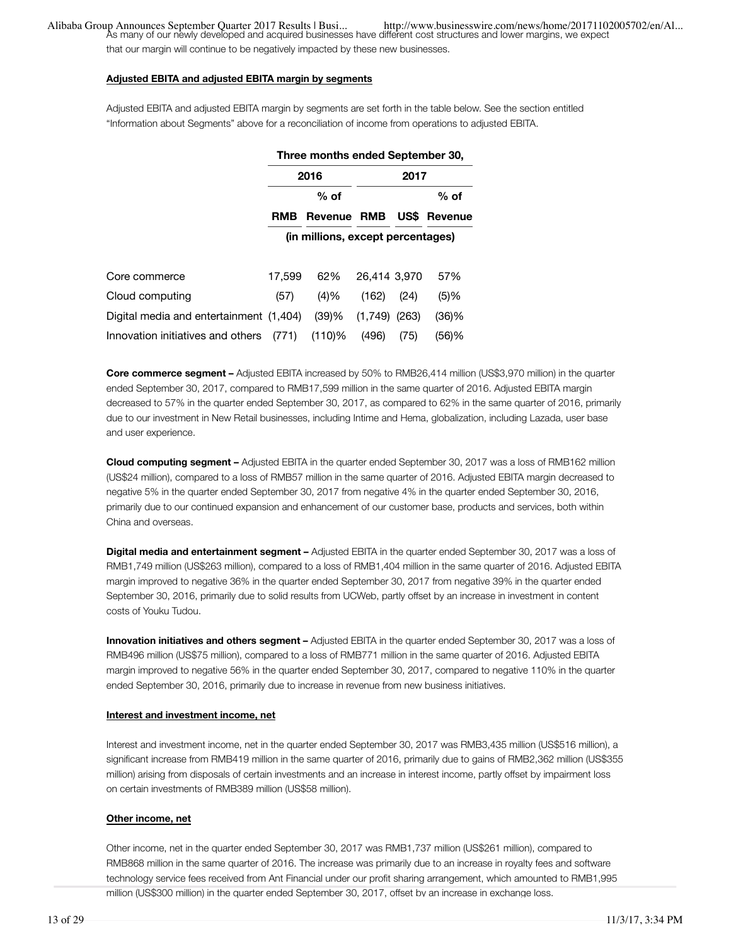...Alibaba Group Announces September Quarter 2017 Results | Busi<br>As many of our newly developed and acquired businesses have different cost structures and lower margins, we expect<br>As many of our newly developed and acquire

that our margin will continue to be negatively impacted by these new businesses.

#### **Adjusted EBITA and adjusted EBITA margin by segments**

Adjusted EBITA and adjusted EBITA margin by segments are set forth in the table below. See the section entitled "Information about Segments" above for a reconciliation of income from operations to adjusted EBITA.

|                                         | Three months ended September 30,  |           |              |       |                     |  |  |
|-----------------------------------------|-----------------------------------|-----------|--------------|-------|---------------------|--|--|
|                                         |                                   | 2016      |              | 2017  |                     |  |  |
|                                         |                                   | $%$ of    |              |       | $%$ of              |  |  |
|                                         | <b>RMB</b>                        | Revenue   | <b>RMB</b>   |       | <b>US\$</b> Revenue |  |  |
|                                         | (in millions, except percentages) |           |              |       |                     |  |  |
|                                         |                                   |           |              |       |                     |  |  |
| Core commerce                           | 17.599                            | 62%       | 26,414 3,970 |       | 57%                 |  |  |
| Cloud computing                         | (57)                              | (4)%      | (162)        | (24)  | (5)%                |  |  |
| Digital media and entertainment (1,404) |                                   | (39)%     | (1,749)      | (263) | (36)%               |  |  |
| Innovation initiatives and others       | (771)                             | $(110)$ % | (496)        | (75)  | (56)%               |  |  |

**Core commerce segment –** Adjusted EBITA increased by 50% to RMB26,414 million (US\$3,970 million) in the quarter ended September 30, 2017, compared to RMB17,599 million in the same quarter of 2016. Adjusted EBITA margin decreased to 57% in the quarter ended September 30, 2017, as compared to 62% in the same quarter of 2016, primarily due to our investment in New Retail businesses, including Intime and Hema, globalization, including Lazada, user base and user experience.

**Cloud computing segment –** Adjusted EBITA in the quarter ended September 30, 2017 was a loss of RMB162 million (US\$24 million), compared to a loss of RMB57 million in the same quarter of 2016. Adjusted EBITA margin decreased to negative 5% in the quarter ended September 30, 2017 from negative 4% in the quarter ended September 30, 2016, primarily due to our continued expansion and enhancement of our customer base, products and services, both within China and overseas.

**Digital media and entertainment segment –** Adjusted EBITA in the quarter ended September 30, 2017 was a loss of RMB1,749 million (US\$263 million), compared to a loss of RMB1,404 million in the same quarter of 2016. Adjusted EBITA margin improved to negative 36% in the quarter ended September 30, 2017 from negative 39% in the quarter ended September 30, 2016, primarily due to solid results from UCWeb, partly offset by an increase in investment in content costs of Youku Tudou.

**Innovation initiatives and others segment –** Adjusted EBITA in the quarter ended September 30, 2017 was a loss of RMB496 million (US\$75 million), compared to a loss of RMB771 million in the same quarter of 2016. Adjusted EBITA margin improved to negative 56% in the quarter ended September 30, 2017, compared to negative 110% in the quarter ended September 30, 2016, primarily due to increase in revenue from new business initiatives.

#### **Interest and investment income, net**

Interest and investment income, net in the quarter ended September 30, 2017 was RMB3,435 million (US\$516 million), a significant increase from RMB419 million in the same quarter of 2016, primarily due to gains of RMB2,362 million (US\$355 million) arising from disposals of certain investments and an increase in interest income, partly offset by impairment loss on certain investments of RMB389 million (US\$58 million).

#### **Other income, net**

Other income, net in the quarter ended September 30, 2017 was RMB1,737 million (US\$261 million), compared to RMB868 million in the same quarter of 2016. The increase was primarily due to an increase in royalty fees and software technology service fees received from Ant Financial under our profit sharing arrangement, which amounted to RMB1,995 million (US\$300 million) in the quarter ended September 30, 2017, offset by an increase in exchange loss.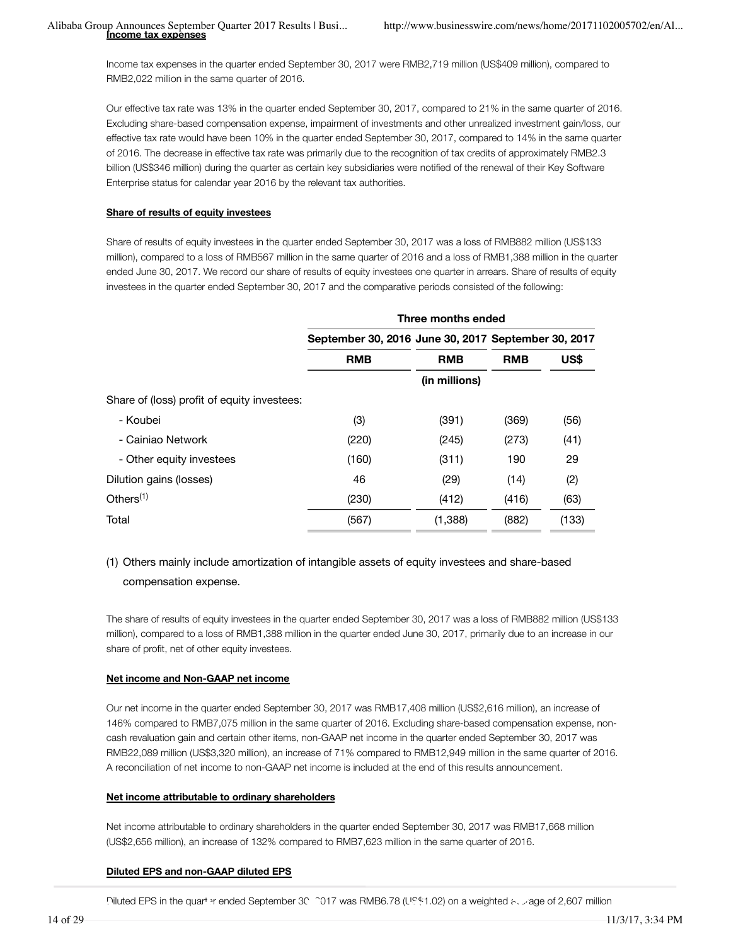Income tax expenses in the quarter ended September 30, 2017 were RMB2,719 million (US\$409 million), compared to RMB2,022 million in the same quarter of 2016.

Our effective tax rate was 13% in the quarter ended September 30, 2017, compared to 21% in the same quarter of 2016. Excluding share-based compensation expense, impairment of investments and other unrealized investment gain/loss, our effective tax rate would have been 10% in the quarter ended September 30, 2017, compared to 14% in the same quarter of 2016. The decrease in effective tax rate was primarily due to the recognition of tax credits of approximately RMB2.3 billion (US\$346 million) during the quarter as certain key subsidiaries were notified of the renewal of their Key Software Enterprise status for calendar year 2016 by the relevant tax authorities.

### **Share of results of equity investees**

Share of results of equity investees in the quarter ended September 30, 2017 was a loss of RMB882 million (US\$133 million), compared to a loss of RMB567 million in the same quarter of 2016 and a loss of RMB1,388 million in the quarter ended June 30, 2017. We record our share of results of equity investees one quarter in arrears. Share of results of equity investees in the quarter ended September 30, 2017 and the comparative periods consisted of the following:

|                                             | Three months ended                                  |               |            |       |  |  |  |
|---------------------------------------------|-----------------------------------------------------|---------------|------------|-------|--|--|--|
|                                             | September 30, 2016 June 30, 2017 September 30, 2017 |               |            |       |  |  |  |
|                                             | <b>RMB</b>                                          | <b>RMB</b>    | <b>RMB</b> | US\$  |  |  |  |
|                                             |                                                     | (in millions) |            |       |  |  |  |
| Share of (loss) profit of equity investees: |                                                     |               |            |       |  |  |  |
| - Koubei                                    | (3)                                                 | (391)         | (369)      | (56)  |  |  |  |
| - Cainiao Network                           | (220)                                               | (245)         | (273)      | (41)  |  |  |  |
| - Other equity investees                    | (160)                                               | (311)         | 190        | 29    |  |  |  |
| Dilution gains (losses)                     | 46                                                  | (29)          | (14)       | (2)   |  |  |  |
| Others $(1)$                                | (230)                                               | (412)         | (416)      | (63)  |  |  |  |
| Total                                       | (567)                                               | (1,388)       | (882)      | (133) |  |  |  |

# (1) Others mainly include amortization of intangible assets of equity investees and share-based compensation expense.

The share of results of equity investees in the quarter ended September 30, 2017 was a loss of RMB882 million (US\$133 million), compared to a loss of RMB1,388 million in the quarter ended June 30, 2017, primarily due to an increase in our share of profit, net of other equity investees.

### **Net income and Non-GAAP net income**

Our net income in the quarter ended September 30, 2017 was RMB17,408 million (US\$2,616 million), an increase of 146% compared to RMB7,075 million in the same quarter of 2016. Excluding share-based compensation expense, noncash revaluation gain and certain other items, non-GAAP net income in the quarter ended September 30, 2017 was RMB22,089 million (US\$3,320 million), an increase of 71% compared to RMB12,949 million in the same quarter of 2016. A reconciliation of net income to non-GAAP net income is included at the end of this results announcement.

### **Net income attributable to ordinary shareholders**

Net income attributable to ordinary shareholders in the quarter ended September 30, 2017 was RMB17,668 million (US\$2,656 million), an increase of 132% compared to RMB7,623 million in the same quarter of 2016.

### **Diluted EPS and non-GAAP diluted EPS**

Diluted EPS in the quarter ended September 30, 2017 was RMB6.78 (US\$1.02) on a weighted average of 2,607 million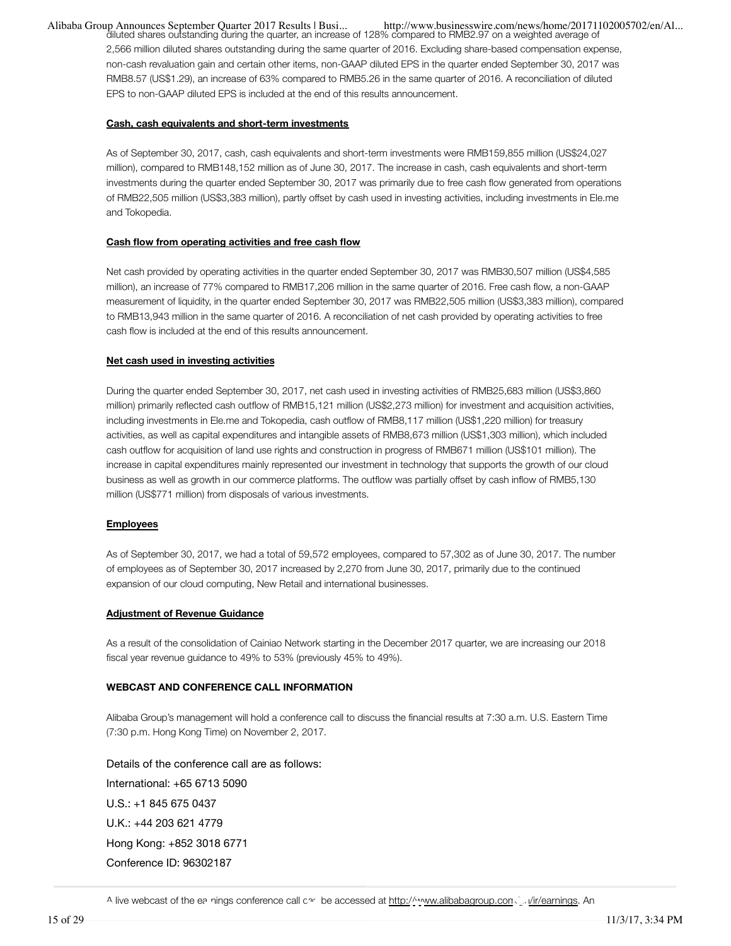diluted shares outstanding during the quarter, an increase of 128% compared to RMB2.97 on a weighted average of 2,566 million diluted shares outstanding during the same quarter of 2016. Excluding share-based compensation expense, non-cash revaluation gain and certain other items, non-GAAP diluted EPS in the quarter ended September 30, 2017 was RMB8.57 (US\$1.29), an increase of 63% compared to RMB5.26 in the same quarter of 2016. A reconciliation of diluted EPS to non-GAAP diluted EPS is included at the end of this results announcement.

#### **Cash, cash equivalents and short-term investments**

As of September 30, 2017, cash, cash equivalents and short-term investments were RMB159,855 million (US\$24,027 million), compared to RMB148,152 million as of June 30, 2017. The increase in cash, cash equivalents and short-term investments during the quarter ended September 30, 2017 was primarily due to free cash flow generated from operations of RMB22,505 million (US\$3,383 million), partly offset by cash used in investing activities, including investments in Ele.me and Tokopedia.

#### **Cash flow from operating activities and free cash flow**

Net cash provided by operating activities in the quarter ended September 30, 2017 was RMB30,507 million (US\$4,585 million), an increase of 77% compared to RMB17,206 million in the same quarter of 2016. Free cash flow, a non-GAAP measurement of liquidity, in the quarter ended September 30, 2017 was RMB22,505 million (US\$3,383 million), compared to RMB13,943 million in the same quarter of 2016. A reconciliation of net cash provided by operating activities to free cash flow is included at the end of this results announcement.

#### **Net cash used in investing activities**

During the quarter ended September 30, 2017, net cash used in investing activities of RMB25,683 million (US\$3,860 million) primarily reflected cash outflow of RMB15,121 million (US\$2,273 million) for investment and acquisition activities, including investments in Ele.me and Tokopedia, cash outflow of RMB8,117 million (US\$1,220 million) for treasury activities, as well as capital expenditures and intangible assets of RMB8,673 million (US\$1,303 million), which included cash outflow for acquisition of land use rights and construction in progress of RMB671 million (US\$101 million). The increase in capital expenditures mainly represented our investment in technology that supports the growth of our cloud business as well as growth in our commerce platforms. The outflow was partially offset by cash inflow of RMB5,130 million (US\$771 million) from disposals of various investments.

#### **Employees**

As of September 30, 2017, we had a total of 59,572 employees, compared to 57,302 as of June 30, 2017. The number of employees as of September 30, 2017 increased by 2,270 from June 30, 2017, primarily due to the continued expansion of our cloud computing, New Retail and international businesses.

#### **Adjustment of Revenue Guidance**

As a result of the consolidation of Cainiao Network starting in the December 2017 quarter, we are increasing our 2018 fiscal year revenue guidance to 49% to 53% (previously 45% to 49%).

#### **WEBCAST AND CONFERENCE CALL INFORMATION**

Alibaba Group's management will hold a conference call to discuss the financial results at 7:30 a.m. U.S. Eastern Time (7:30 p.m. Hong Kong Time) on November 2, 2017.

Details of the conference call are as follows: International: +65 6713 5090 U.S.: +1 845 675 0437 U.K.: +44 203 621 4779 Hong Kong: +852 3018 6771 Conference ID: 96302187

A live webcast of the earnings conference call can be accessed at http://www.alibabagroup.com/en/ir/earnings. An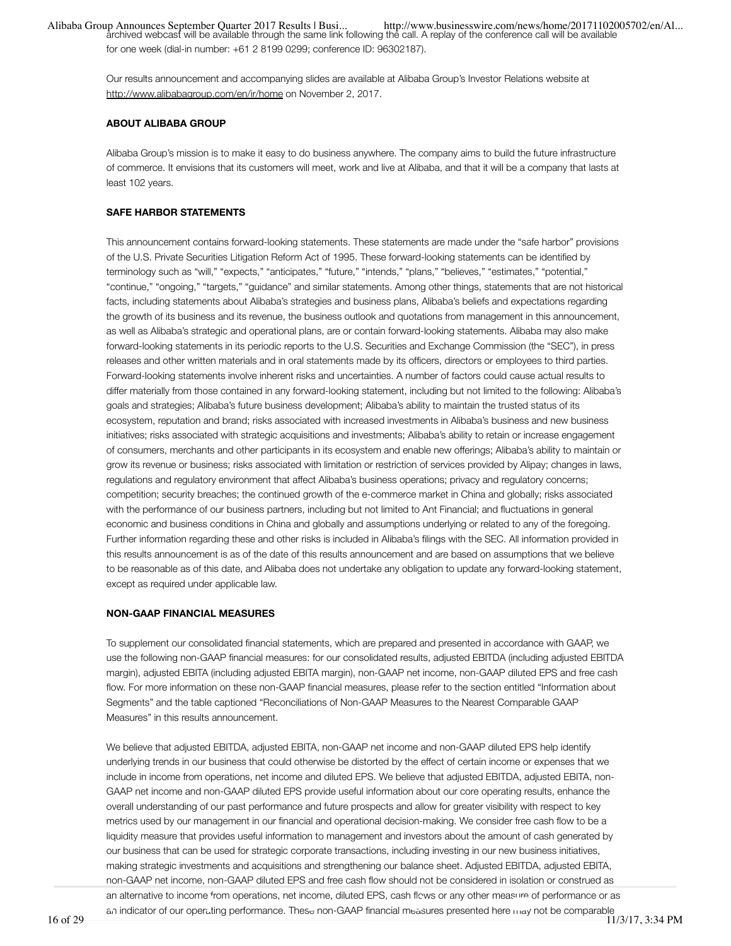...Alibaba Group Announces September Quarter 2017 Results | Busi<br>archived webcast will be available through the same link following the call. A replay of the conference call will be available for one week (dial-in number: +61 2 8199 0299; conference ID: 96302187).

Our results announcement and accompanying slides are available at Alibaba Group's Investor Relations website at http://www.alibabagroup.com/en/ir/home on November 2, 2017.

#### **ABOUT ALIBABA GROUP**

Alibaba Group's mission is to make it easy to do business anywhere. The company aims to build the future infrastructure of commerce. It envisions that its customers will meet, work and live at Alibaba, and that it will be a company that lasts at least 102 years.

#### **SAFE HARBOR STATEMENTS**

This announcement contains forward-looking statements. These statements are made under the "safe harbor" provisions of the U.S. Private Securities Litigation Reform Act of 1995. These forward-looking statements can be identified by terminology such as "will," "expects," "anticipates," "future," "intends," "plans," "believes," "estimates," "potential," "continue," "ongoing," "targets," "guidance" and similar statements. Among other things, statements that are not historical facts, including statements about Alibaba's strategies and business plans, Alibaba's beliefs and expectations regarding the growth of its business and its revenue, the business outlook and quotations from management in this announcement, as well as Alibaba's strategic and operational plans, are or contain forward-looking statements. Alibaba may also make forward-looking statements in its periodic reports to the U.S. Securities and Exchange Commission (the "SEC"), in press releases and other written materials and in oral statements made by its officers, directors or employees to third parties. Forward-looking statements involve inherent risks and uncertainties. A number of factors could cause actual results to differ materially from those contained in any forward-looking statement, including but not limited to the following: Alibaba's goals and strategies; Alibaba's future business development; Alibaba's ability to maintain the trusted status of its ecosystem, reputation and brand; risks associated with increased investments in Alibaba's business and new business initiatives; risks associated with strategic acquisitions and investments; Alibaba's ability to retain or increase engagement of consumers, merchants and other participants in its ecosystem and enable new offerings; Alibaba's ability to maintain or grow its revenue or business; risks associated with limitation or restriction of services provided by Alipay; changes in laws, regulations and regulatory environment that affect Alibaba's business operations; privacy and regulatory concerns; competition; security breaches; the continued growth of the e-commerce market in China and globally; risks associated with the performance of our business partners, including but not limited to Ant Financial; and fluctuations in general economic and business conditions in China and globally and assumptions underlying or related to any of the foregoing. Further information regarding these and other risks is included in Alibaba's filings with the SEC. All information provided in this results announcement is as of the date of this results announcement and are based on assumptions that we believe to be reasonable as of this date, and Alibaba does not undertake any obligation to update any forward-looking statement, except as required under applicable law.

#### **NON-GAAP FINANCIAL MEASURES**

To supplement our consolidated financial statements, which are prepared and presented in accordance with GAAP, we use the following non-GAAP financial measures: for our consolidated results, adjusted EBITDA (including adjusted EBITDA margin), adjusted EBITA (including adjusted EBITA margin), non-GAAP net income, non-GAAP diluted EPS and free cash flow. For more information on these non-GAAP financial measures, please refer to the section entitled "Information about Segments" and the table captioned "Reconciliations of Non-GAAP Measures to the Nearest Comparable GAAP Measures" in this results announcement.

We believe that adjusted EBITDA, adjusted EBITA, non-GAAP net income and non-GAAP diluted EPS help identify underlying trends in our business that could otherwise be distorted by the effect of certain income or expenses that we include in income from operations, net income and diluted EPS. We believe that adjusted EBITDA, adjusted EBITA, non-GAAP net income and non-GAAP diluted EPS provide useful information about our core operating results, enhance the overall understanding of our past performance and future prospects and allow for greater visibility with respect to key metrics used by our management in our financial and operational decision-making. We consider free cash flow to be a liquidity measure that provides useful information to management and investors about the amount of cash generated by our business that can be used for strategic corporate transactions, including investing in our new business initiatives, making strategic investments and acquisitions and strengthening our balance sheet. Adjusted EBITDA, adjusted EBITA, non-GAAP net income, non-GAAP diluted EPS and free cash flow should not be considered in isolation or construed as an alternative to income from operations, net income, diluted EPS, cash flows or any other measure of performance or as an indicator of our operating performance. These non-GAAP financial measures presented here may not be comparable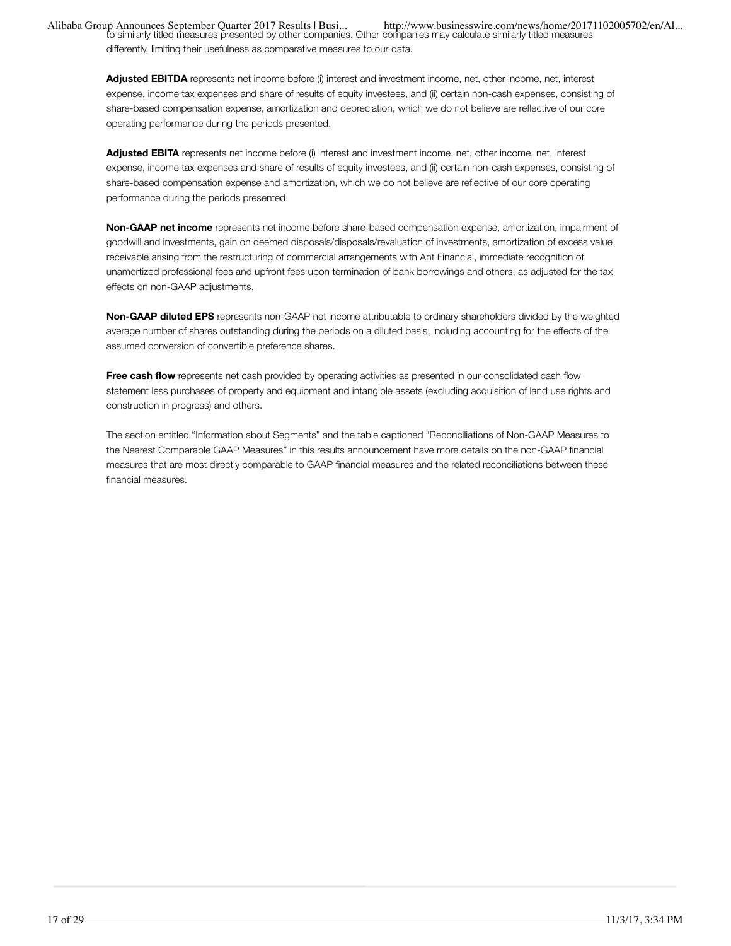differently, limiting their usefulness as comparative measures to our data.

**Adjusted EBITDA** represents net income before (i) interest and investment income, net, other income, net, interest expense, income tax expenses and share of results of equity investees, and (ii) certain non-cash expenses, consisting of share-based compensation expense, amortization and depreciation, which we do not believe are reflective of our core operating performance during the periods presented.

**Adjusted EBITA** represents net income before (i) interest and investment income, net, other income, net, interest expense, income tax expenses and share of results of equity investees, and (ii) certain non-cash expenses, consisting of share-based compensation expense and amortization, which we do not believe are reflective of our core operating performance during the periods presented.

**Non-GAAP net income** represents net income before share-based compensation expense, amortization, impairment of goodwill and investments, gain on deemed disposals/disposals/revaluation of investments, amortization of excess value receivable arising from the restructuring of commercial arrangements with Ant Financial, immediate recognition of unamortized professional fees and upfront fees upon termination of bank borrowings and others, as adjusted for the tax effects on non-GAAP adjustments.

**Non-GAAP diluted EPS** represents non-GAAP net income attributable to ordinary shareholders divided by the weighted average number of shares outstanding during the periods on a diluted basis, including accounting for the effects of the assumed conversion of convertible preference shares.

**Free cash flow** represents net cash provided by operating activities as presented in our consolidated cash flow statement less purchases of property and equipment and intangible assets (excluding acquisition of land use rights and construction in progress) and others.

The section entitled "Information about Segments" and the table captioned "Reconciliations of Non-GAAP Measures to the Nearest Comparable GAAP Measures" in this results announcement have more details on the non-GAAP financial measures that are most directly comparable to GAAP financial measures and the related reconciliations between these financial measures.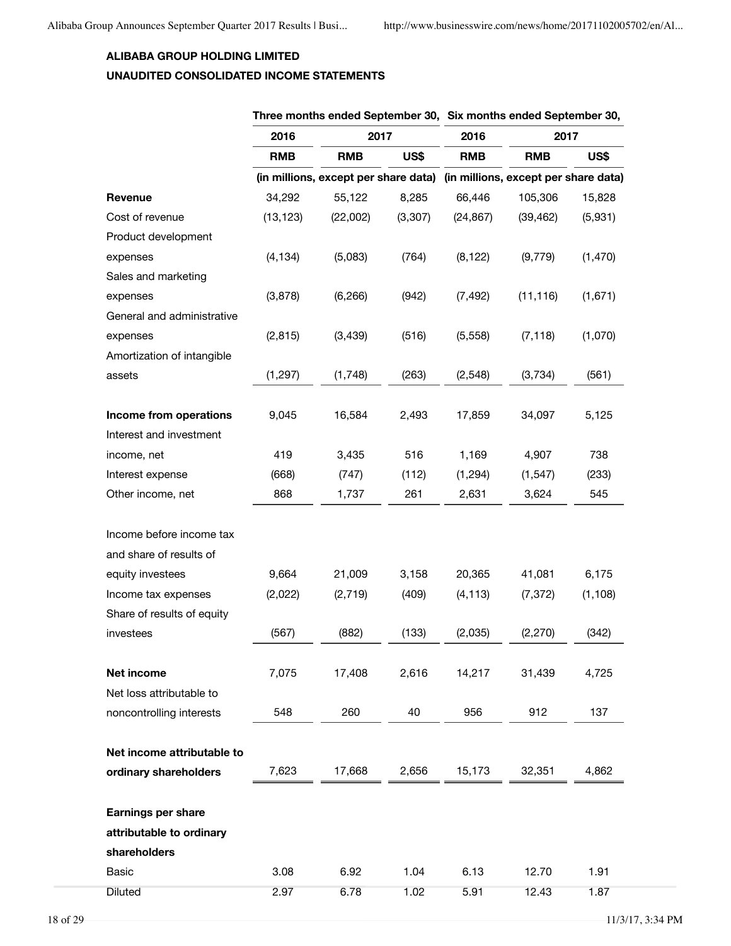### **ALIBABA GROUP HOLDING LIMITED**

# **UNAUDITED CONSOLIDATED INCOME STATEMENTS**

|                            | Three months ended September 30, Six months ended September 30, |                                                                           |         |            |            |          |  |
|----------------------------|-----------------------------------------------------------------|---------------------------------------------------------------------------|---------|------------|------------|----------|--|
|                            | 2016                                                            | 2017                                                                      |         | 2016       | 2017       |          |  |
|                            | <b>RMB</b>                                                      | <b>RMB</b>                                                                | US\$    | <b>RMB</b> | <b>RMB</b> | US\$     |  |
|                            |                                                                 | (in millions, except per share data) (in millions, except per share data) |         |            |            |          |  |
| Revenue                    | 34,292                                                          | 55,122                                                                    | 8,285   | 66,446     | 105,306    | 15,828   |  |
| Cost of revenue            | (13, 123)                                                       | (22,002)                                                                  | (3,307) | (24, 867)  | (39, 462)  | (5,931)  |  |
| Product development        |                                                                 |                                                                           |         |            |            |          |  |
| expenses                   | (4, 134)                                                        | (5,083)                                                                   | (764)   | (8, 122)   | (9, 779)   | (1, 470) |  |
| Sales and marketing        |                                                                 |                                                                           |         |            |            |          |  |
| expenses                   | (3,878)                                                         | (6, 266)                                                                  | (942)   | (7, 492)   | (11, 116)  | (1,671)  |  |
| General and administrative |                                                                 |                                                                           |         |            |            |          |  |
| expenses                   | (2, 815)                                                        | (3, 439)                                                                  | (516)   | (5, 558)   | (7, 118)   | (1,070)  |  |
| Amortization of intangible |                                                                 |                                                                           |         |            |            |          |  |
| assets                     | (1, 297)                                                        | (1,748)                                                                   | (263)   | (2, 548)   | (3,734)    | (561)    |  |
| Income from operations     | 9,045                                                           | 16,584                                                                    | 2,493   | 17,859     | 34,097     | 5,125    |  |
| Interest and investment    |                                                                 |                                                                           |         |            |            |          |  |
| income, net                | 419                                                             | 3,435                                                                     | 516     | 1,169      | 4,907      | 738      |  |
| Interest expense           | (668)                                                           | (747)                                                                     | (112)   | (1, 294)   | (1, 547)   | (233)    |  |
| Other income, net          | 868                                                             | 1,737                                                                     | 261     | 2,631      | 3,624      | 545      |  |
|                            |                                                                 |                                                                           |         |            |            |          |  |
| Income before income tax   |                                                                 |                                                                           |         |            |            |          |  |
| and share of results of    |                                                                 |                                                                           |         |            |            |          |  |
| equity investees           | 9,664                                                           | 21,009                                                                    | 3,158   | 20,365     | 41,081     | 6,175    |  |
| Income tax expenses        | (2,022)                                                         | (2, 719)                                                                  | (409)   | (4, 113)   | (7, 372)   | (1, 108) |  |
| Share of results of equity |                                                                 |                                                                           |         |            |            |          |  |
| investees                  | (567)                                                           | (882)                                                                     | (133)   | (2,035)    | (2, 270)   | (342)    |  |
| Net income                 | 7,075                                                           | 17,408                                                                    | 2,616   | 14,217     | 31,439     | 4,725    |  |
| Net loss attributable to   |                                                                 |                                                                           |         |            |            |          |  |
| noncontrolling interests   | 548                                                             | 260                                                                       | 40      | 956        | 912        | 137      |  |
| Net income attributable to |                                                                 |                                                                           |         |            |            |          |  |
| ordinary shareholders      | 7,623                                                           | 17,668                                                                    | 2,656   | 15,173     | 32,351     | 4,862    |  |
|                            |                                                                 |                                                                           |         |            |            |          |  |
| <b>Earnings per share</b>  |                                                                 |                                                                           |         |            |            |          |  |
| attributable to ordinary   |                                                                 |                                                                           |         |            |            |          |  |
| shareholders               |                                                                 |                                                                           |         |            |            |          |  |
| Basic                      | 3.08                                                            | 6.92                                                                      | 1.04    | 6.13       | 12.70      | 1.91     |  |
| <b>Diluted</b>             | 2.97                                                            | 6.78                                                                      | 1.02    | 5.91       | 12.43      | 1.87     |  |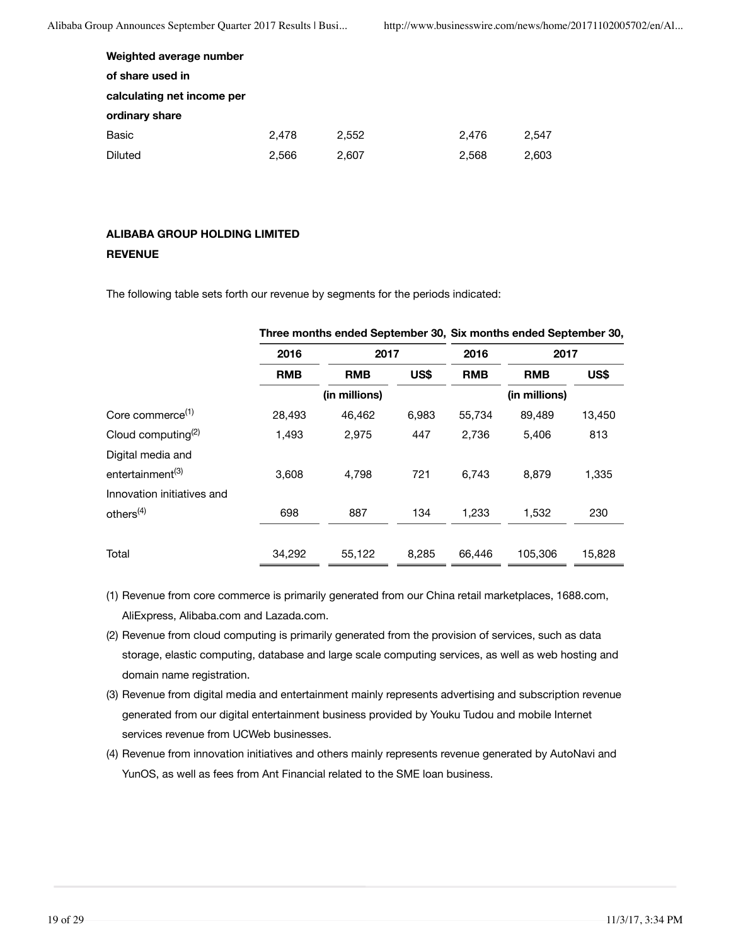| Weighted average number    |       |       |       |       |
|----------------------------|-------|-------|-------|-------|
| of share used in           |       |       |       |       |
| calculating net income per |       |       |       |       |
| ordinary share             |       |       |       |       |
| Basic                      | 2.478 | 2.552 | 2.476 | 2.547 |
| Diluted                    | 2.566 | 2,607 | 2,568 | 2,603 |

### **ALIBABA GROUP HOLDING LIMITED REVENUE**

The following table sets forth our revenue by segments for the periods indicated:

|                                | <u>THE CHIDITING CHUSH OCPICITING TOO, OIA HIDITING CHUSH OCPICITING TOO,</u> |               |       |            |               |        |  |
|--------------------------------|-------------------------------------------------------------------------------|---------------|-------|------------|---------------|--------|--|
|                                | 2016                                                                          | 2017          |       | 2016       | 2017          |        |  |
|                                | <b>RMB</b>                                                                    | <b>RMB</b>    | US\$  | <b>RMB</b> | <b>RMB</b>    | US\$   |  |
|                                |                                                                               | (in millions) |       |            | (in millions) |        |  |
| Core commerce <sup>(1)</sup>   | 28,493                                                                        | 46,462        | 6,983 | 55,734     | 89,489        | 13,450 |  |
| Cloud computing <sup>(2)</sup> | 1.493                                                                         | 2,975         | 447   | 2,736      | 5.406         | 813    |  |
| Digital media and              |                                                                               |               |       |            |               |        |  |
| entertainment <sup>(3)</sup>   | 3.608                                                                         | 4.798         | 721   | 6.743      | 8.879         | 1,335  |  |
| Innovation initiatives and     |                                                                               |               |       |            |               |        |  |
| others <sup>(4)</sup>          | 698                                                                           | 887           | 134   | 1.233      | 1,532         | 230    |  |
| Total                          | 34,292                                                                        | 55,122        | 8,285 | 66.446     | 105,306       | 15,828 |  |

### **Three months ended September 30, Six months ended September 30,**

- (1) Revenue from core commerce is primarily generated from our China retail marketplaces, 1688.com, AliExpress, Alibaba.com and Lazada.com.
- (2) Revenue from cloud computing is primarily generated from the provision of services, such as data storage, elastic computing, database and large scale computing services, as well as web hosting and domain name registration.
- (3) Revenue from digital media and entertainment mainly represents advertising and subscription revenue generated from our digital entertainment business provided by Youku Tudou and mobile Internet services revenue from UCWeb businesses.
- (4) Revenue from innovation initiatives and others mainly represents revenue generated by AutoNavi and YunOS, as well as fees from Ant Financial related to the SME loan business.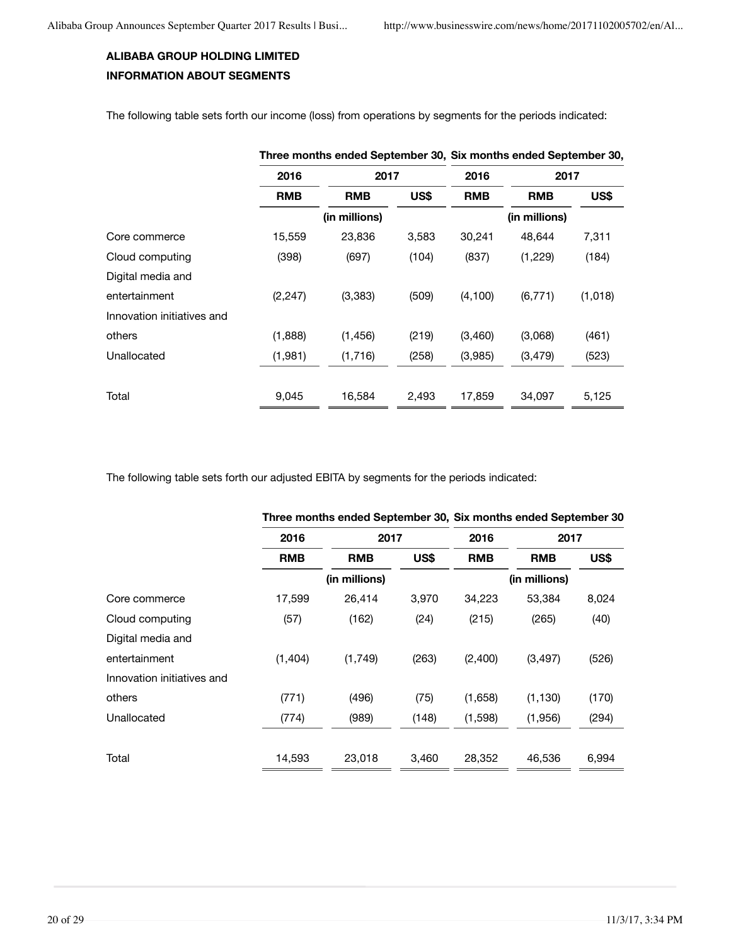# **ALIBABA GROUP HOLDING LIMITED INFORMATION ABOUT SEGMENTS**

The following table sets forth our income (loss) from operations by segments for the periods indicated:

|                            | Three months ended September 30, Six months ended September 30, |               |            |            |               |         |  |
|----------------------------|-----------------------------------------------------------------|---------------|------------|------------|---------------|---------|--|
|                            | 2016                                                            | 2017          |            | 2016       | 2017          |         |  |
|                            | US\$<br><b>RMB</b><br><b>RMB</b>                                |               | <b>RMB</b> | <b>RMB</b> | US\$          |         |  |
|                            |                                                                 | (in millions) |            |            | (in millions) |         |  |
| Core commerce              | 15,559                                                          | 23,836        | 3,583      | 30,241     | 48,644        | 7,311   |  |
| Cloud computing            | (398)                                                           | (697)         | (104)      | (837)      | (1,229)       | (184)   |  |
| Digital media and          |                                                                 |               |            |            |               |         |  |
| entertainment              | (2, 247)                                                        | (3,383)       | (509)      | (4, 100)   | (6, 771)      | (1,018) |  |
| Innovation initiatives and |                                                                 |               |            |            |               |         |  |
| others                     | (1,888)                                                         | (1, 456)      | (219)      | (3,460)    | (3,068)       | (461)   |  |
| Unallocated                | (1,981)                                                         | (1,716)       | (258)      | (3,985)    | (3, 479)      | (523)   |  |
|                            |                                                                 |               |            |            |               |         |  |
| Total                      | 9,045                                                           | 16,584        | 2,493      | 17,859     | 34,097        | 5,125   |  |

The following table sets forth our adjusted EBITA by segments for the periods indicated:

| 2016       |               | 2017  |               | 2017       |                                                                |  |
|------------|---------------|-------|---------------|------------|----------------------------------------------------------------|--|
| <b>RMB</b> | <b>RMB</b>    | US\$  | <b>RMB</b>    | <b>RMB</b> | <b>US\$</b>                                                    |  |
|            | (in millions) |       | (in millions) |            |                                                                |  |
| 17,599     | 26,414        | 3,970 | 34,223        | 53,384     | 8,024                                                          |  |
| (57)       | (162)         | (24)  | (215)         | (265)      | (40)                                                           |  |
|            |               |       |               |            |                                                                |  |
| (1,404)    | (1,749)       | (263) | (2,400)       | (3, 497)   | (526)                                                          |  |
|            |               |       |               |            |                                                                |  |
| (771)      | (496)         | (75)  | (1,658)       | (1, 130)   | (170)                                                          |  |
| (774)      | (989)         | (148) | (1,598)       | (1,956)    | (294)                                                          |  |
|            |               |       |               |            |                                                                |  |
| 14,593     | 23,018        | 3.460 | 28,352        | 46,536     | 6,994                                                          |  |
|            |               |       |               | 2016       | Three months ended September 30, Six months ended September 30 |  |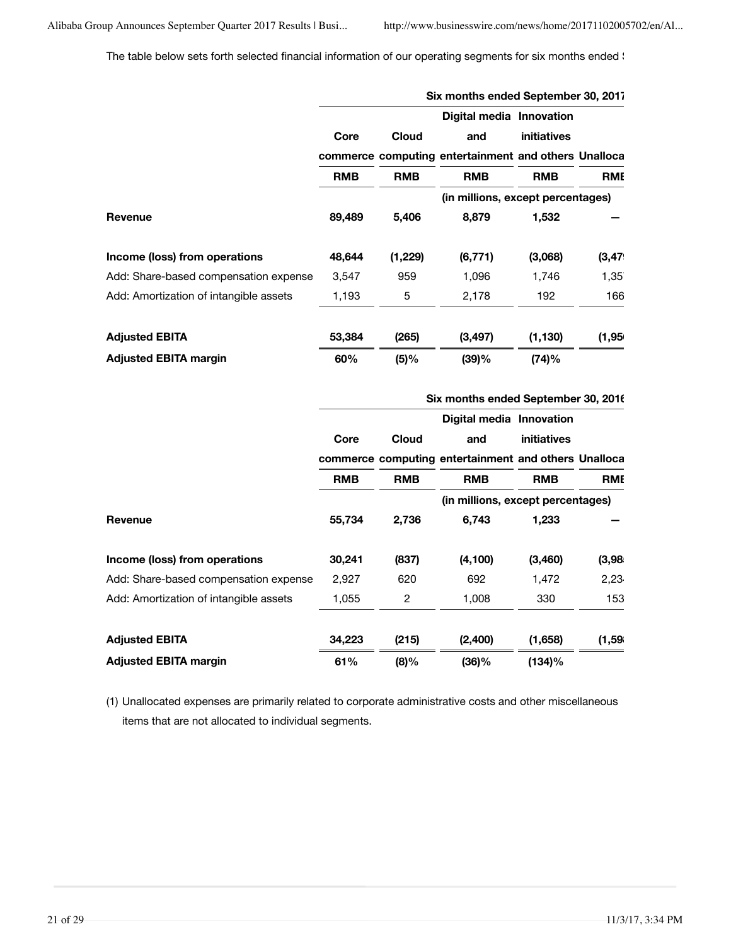The table below sets forth selected financial information of our operating segments for six months ended \

|                                        | Six months ended September 30, 2017 |              |                                                      |             |            |  |  |  |
|----------------------------------------|-------------------------------------|--------------|------------------------------------------------------|-------------|------------|--|--|--|
|                                        |                                     |              | Digital media Innovation                             |             |            |  |  |  |
|                                        | Core                                | <b>Cloud</b> | and                                                  | initiatives |            |  |  |  |
|                                        |                                     |              | commerce computing entertainment and others Unalloca |             |            |  |  |  |
|                                        | <b>RMB</b><br><b>RMB</b>            |              | <b>RMB</b>                                           | <b>RMB</b>  | <b>RME</b> |  |  |  |
|                                        |                                     |              | (in millions, except percentages)                    |             |            |  |  |  |
| Revenue                                | 89,489                              | 5,406        | 8,879                                                | 1,532       |            |  |  |  |
| Income (loss) from operations          | 48,644                              | (1,229)      | (6, 771)                                             | (3,068)     | (3, 47)    |  |  |  |
| Add: Share-based compensation expense  | 3,547                               | 959          | 1,096                                                | 1,746       | 1,35       |  |  |  |
| Add: Amortization of intangible assets | 1,193                               | 5            | 2,178                                                | 192         | 166        |  |  |  |
| <b>Adjusted EBITA</b>                  | 53,384                              | (265)        | (3, 497)                                             | (1, 130)    | (1,95)     |  |  |  |
| <b>Adjusted EBITA margin</b>           | 60%                                 | (5)%         | (39)%                                                | (74)%       |            |  |  |  |

|                                        | Six months ended September 30, 2016 |              |                                                      |             |            |  |  |  |  |
|----------------------------------------|-------------------------------------|--------------|------------------------------------------------------|-------------|------------|--|--|--|--|
|                                        |                                     |              | Digital media Innovation                             |             |            |  |  |  |  |
|                                        | Core                                | <b>Cloud</b> | and                                                  | initiatives |            |  |  |  |  |
|                                        |                                     |              | commerce computing entertainment and others Unalloca |             |            |  |  |  |  |
|                                        | <b>RMB</b>                          | <b>RMB</b>   | <b>RMB</b>                                           | <b>RMB</b>  | <b>RME</b> |  |  |  |  |
|                                        |                                     |              | (in millions, except percentages)                    |             |            |  |  |  |  |
| Revenue                                | 55,734                              | 2,736        | 6,743                                                | 1,233       |            |  |  |  |  |
| Income (loss) from operations          | 30,241                              | (837)        | (4, 100)                                             | (3,460)     | (3,98)     |  |  |  |  |
| Add: Share-based compensation expense  | 2,927                               | 620          | 692                                                  | 1,472       | 2,23       |  |  |  |  |
| Add: Amortization of intangible assets | 1,055                               | 2            | 1,008                                                | 330         | 153        |  |  |  |  |
| <b>Adjusted EBITA</b>                  | 34,223                              | (215)        | (2,400)                                              | (1,658)     | (1,59)     |  |  |  |  |
| <b>Adjusted EBITA margin</b>           | 61%                                 | $(8)\%$      | $(36)\%$                                             | (134)%      |            |  |  |  |  |

(1) Unallocated expenses are primarily related to corporate administrative costs and other miscellaneous items that are not allocated to individual segments.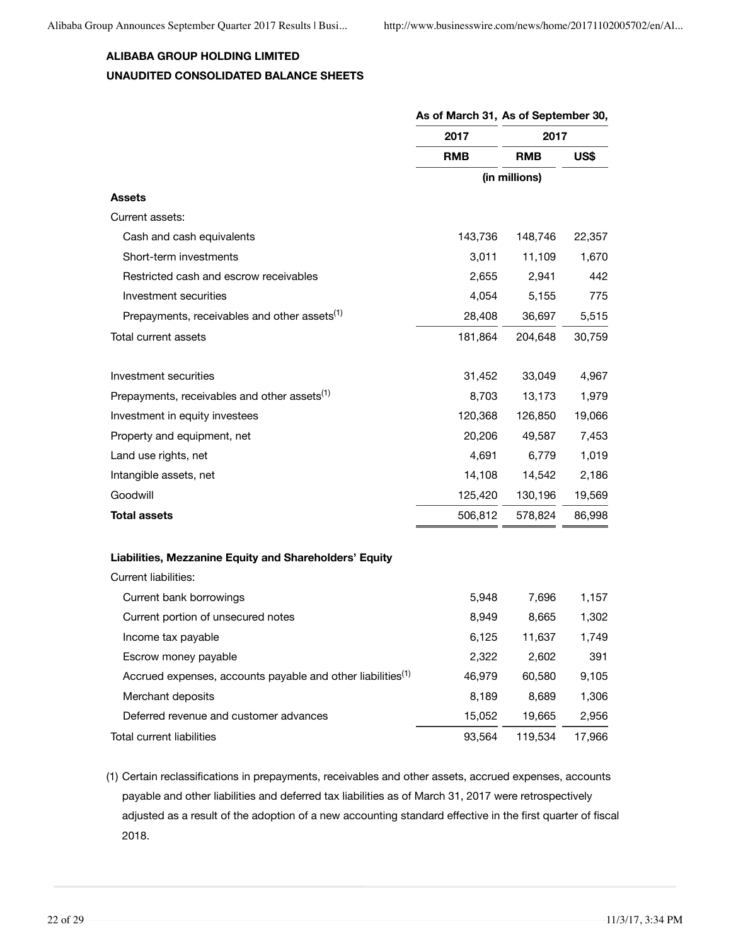# **ALIBABA GROUP HOLDING LIMITED UNAUDITED CONSOLIDATED BALANCE SHEETS**

|                                                                         | As of March 31, As of September 30, |               |        |
|-------------------------------------------------------------------------|-------------------------------------|---------------|--------|
|                                                                         | 2017                                | 2017          |        |
|                                                                         | <b>RMB</b>                          | <b>RMB</b>    | US\$   |
|                                                                         |                                     | (in millions) |        |
| <b>Assets</b>                                                           |                                     |               |        |
| Current assets:                                                         |                                     |               |        |
| Cash and cash equivalents                                               | 143,736                             | 148,746       | 22,357 |
| Short-term investments                                                  | 3,011                               | 11,109        | 1,670  |
| Restricted cash and escrow receivables                                  | 2,655                               | 2,941         | 442    |
| Investment securities                                                   | 4,054                               | 5,155         | 775    |
| Prepayments, receivables and other assets <sup>(1)</sup>                | 28,408                              | 36,697        | 5,515  |
| Total current assets                                                    | 181,864                             | 204,648       | 30,759 |
| Investment securities                                                   | 31,452                              | 33,049        | 4,967  |
| Prepayments, receivables and other assets <sup>(1)</sup>                | 8,703                               | 13,173        | 1,979  |
| Investment in equity investees                                          | 120,368                             | 126,850       | 19,066 |
| Property and equipment, net                                             | 20,206                              | 49,587        | 7,453  |
| Land use rights, net                                                    | 4,691                               | 6,779         | 1,019  |
| Intangible assets, net                                                  | 14,108                              | 14,542        | 2,186  |
| Goodwill                                                                | 125,420                             | 130,196       | 19,569 |
| <b>Total assets</b>                                                     | 506,812                             | 578,824       | 86,998 |
| Liabilities, Mezzanine Equity and Shareholders' Equity                  |                                     |               |        |
| <b>Current liabilities:</b>                                             |                                     |               |        |
| Current bank borrowings                                                 | 5,948                               | 7,696         | 1,157  |
| Current portion of unsecured notes                                      | 8,949                               | 8,665         | 1,302  |
| Income tax payable                                                      | 6,125                               | 11,637        | 1,749  |
| Escrow money payable                                                    | 2,322                               | 2,602         | 391    |
| Accrued expenses, accounts payable and other liabilities <sup>(1)</sup> | 46,979                              | 60,580        | 9,105  |
| Merchant deposits                                                       | 8,189                               | 8,689         | 1,306  |
| Deferred revenue and customer advances                                  | 15,052                              | 19,665        | 2,956  |
| Total current liabilities                                               | 93,564                              | 119,534       | 17,966 |

(1) Certain reclassifications in prepayments, receivables and other assets, accrued expenses, accounts payable and other liabilities and deferred tax liabilities as of March 31, 2017 were retrospectively adjusted as a result of the adoption of a new accounting standard effective in the first quarter of fiscal 2018.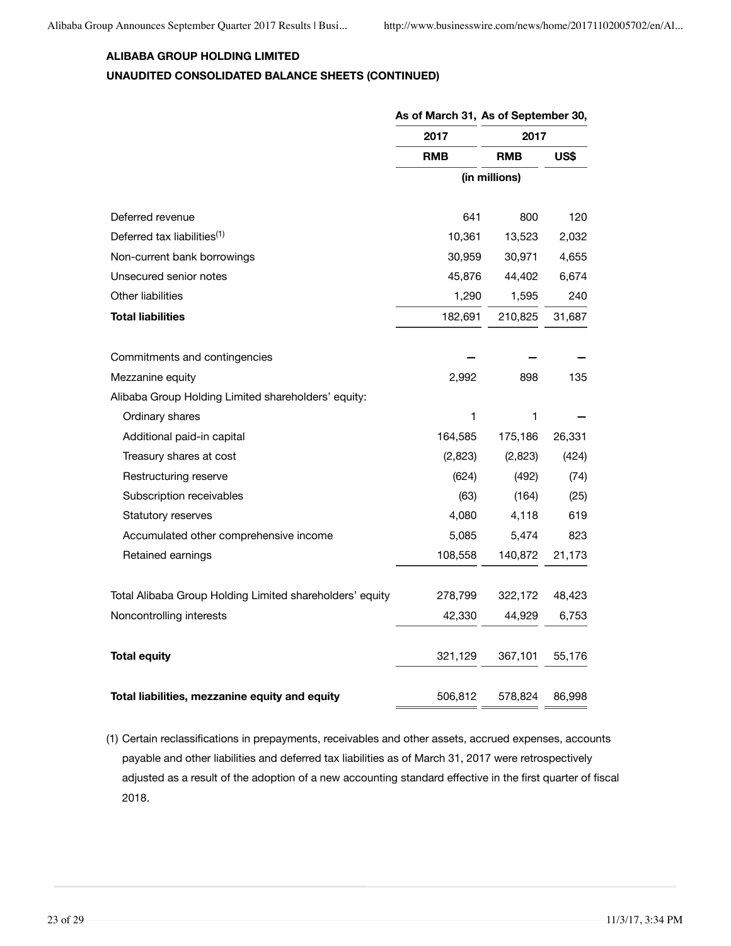# **ALIBABA GROUP HOLDING LIMITED UNAUDITED CONSOLIDATED BALANCE SHEETS (CONTINUED)**

|                                                          | As of March 31, As of September 30, |               |        |
|----------------------------------------------------------|-------------------------------------|---------------|--------|
|                                                          | 2017                                | 2017          |        |
|                                                          | <b>RMB</b>                          | <b>RMB</b>    | US\$   |
|                                                          |                                     | (in millions) |        |
| Deferred revenue                                         | 641                                 | 800           | 120    |
| Deferred tax liabilities <sup>(1)</sup>                  | 10,361                              | 13,523        | 2,032  |
| Non-current bank borrowings                              | 30,959                              | 30,971        | 4,655  |
| Unsecured senior notes                                   | 45,876                              | 44,402        | 6,674  |
| Other liabilities                                        | 1,290                               | 1,595         | 240    |
| <b>Total liabilities</b>                                 | 182,691                             | 210,825       | 31,687 |
| Commitments and contingencies                            |                                     |               |        |
| Mezzanine equity                                         | 2,992                               | 898           | 135    |
| Alibaba Group Holding Limited shareholders' equity:      |                                     |               |        |
| Ordinary shares                                          | 1                                   | 1             |        |
| Additional paid-in capital                               | 164,585                             | 175,186       | 26,331 |
| Treasury shares at cost                                  | (2,823)                             | (2,823)       | (424)  |
| Restructuring reserve                                    | (624)                               | (492)         | (74)   |
| Subscription receivables                                 | (63)                                | (164)         | (25)   |
| Statutory reserves                                       | 4,080                               | 4,118         | 619    |
| Accumulated other comprehensive income                   | 5,085                               | 5,474         | 823    |
| Retained earnings                                        | 108,558                             | 140,872       | 21,173 |
| Total Alibaba Group Holding Limited shareholders' equity | 278,799                             | 322,172       | 48,423 |
| Noncontrolling interests                                 | 42,330                              | 44,929        | 6,753  |
| <b>Total equity</b>                                      | 321,129                             | 367,101       | 55,176 |
| Total liabilities, mezzanine equity and equity           | 506,812                             | 578,824       | 86,998 |

(1) Certain reclassifications in prepayments, receivables and other assets, accrued expenses, accounts payable and other liabilities and deferred tax liabilities as of March 31, 2017 were retrospectively adjusted as a result of the adoption of a new accounting standard effective in the first quarter of fiscal 2018.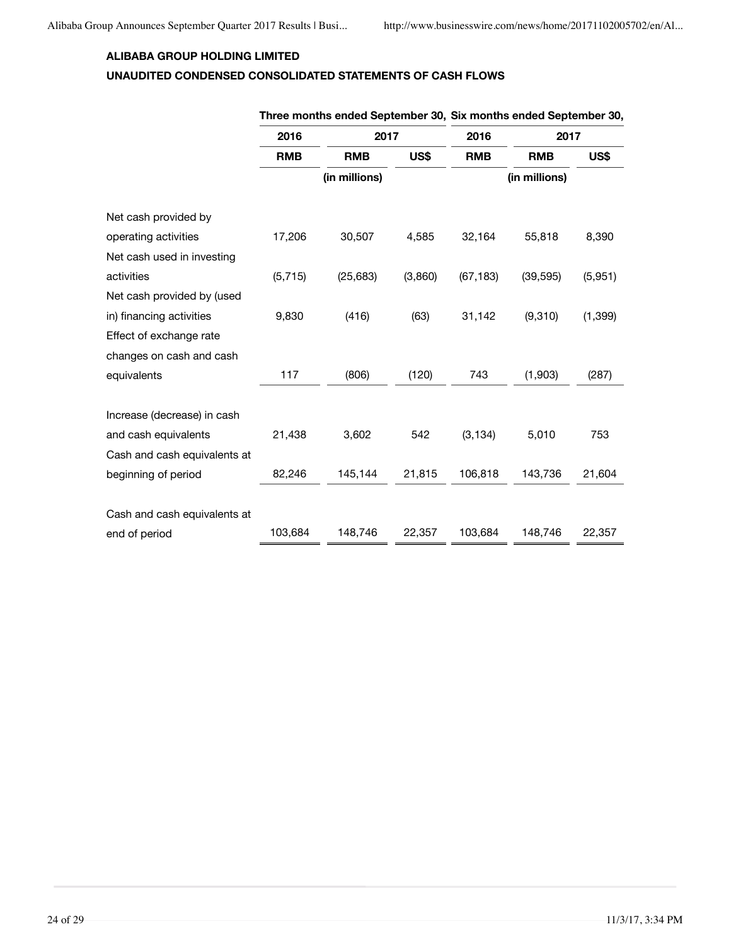### **ALIBABA GROUP HOLDING LIMITED**

## **UNAUDITED CONDENSED CONSOLIDATED STATEMENTS OF CASH FLOWS**

|                              |            |               |         | rilice illuituis chucu ocpichiloel ov, olx illuituis chucu ocpichiloel ov, |               |          |  |  |
|------------------------------|------------|---------------|---------|----------------------------------------------------------------------------|---------------|----------|--|--|
|                              | 2016       | 2017          |         | 2016                                                                       | 2017          |          |  |  |
|                              | <b>RMB</b> | <b>RMB</b>    | US\$    | <b>RMB</b>                                                                 | <b>RMB</b>    | US\$     |  |  |
|                              |            | (in millions) |         |                                                                            | (in millions) |          |  |  |
| Net cash provided by         |            |               |         |                                                                            |               |          |  |  |
| operating activities         | 17,206     | 30,507        | 4,585   | 32,164                                                                     | 55,818        | 8,390    |  |  |
| Net cash used in investing   |            |               |         |                                                                            |               |          |  |  |
| activities                   | (5, 715)   | (25, 683)     | (3,860) | (67, 183)                                                                  | (39, 595)     | (5,951)  |  |  |
| Net cash provided by (used   |            |               |         |                                                                            |               |          |  |  |
| in) financing activities     | 9,830      | (416)         | (63)    | 31,142                                                                     | (9,310)       | (1, 399) |  |  |
| Effect of exchange rate      |            |               |         |                                                                            |               |          |  |  |
| changes on cash and cash     |            |               |         |                                                                            |               |          |  |  |
| equivalents                  | 117        | (806)         | (120)   | 743                                                                        | (1,903)       | (287)    |  |  |
|                              |            |               |         |                                                                            |               |          |  |  |
| Increase (decrease) in cash  |            |               |         |                                                                            |               |          |  |  |
| and cash equivalents         | 21,438     | 3,602         | 542     | (3, 134)                                                                   | 5,010         | 753      |  |  |
| Cash and cash equivalents at |            |               |         |                                                                            |               |          |  |  |
| beginning of period          | 82,246     | 145,144       | 21,815  | 106,818                                                                    | 143,736       | 21,604   |  |  |
|                              |            |               |         |                                                                            |               |          |  |  |
| Cash and cash equivalents at |            |               |         |                                                                            |               |          |  |  |
| end of period                | 103,684    | 148,746       | 22,357  | 103,684                                                                    | 148,746       | 22,357   |  |  |

### **Three months ended September 30, Six months ended September 30,**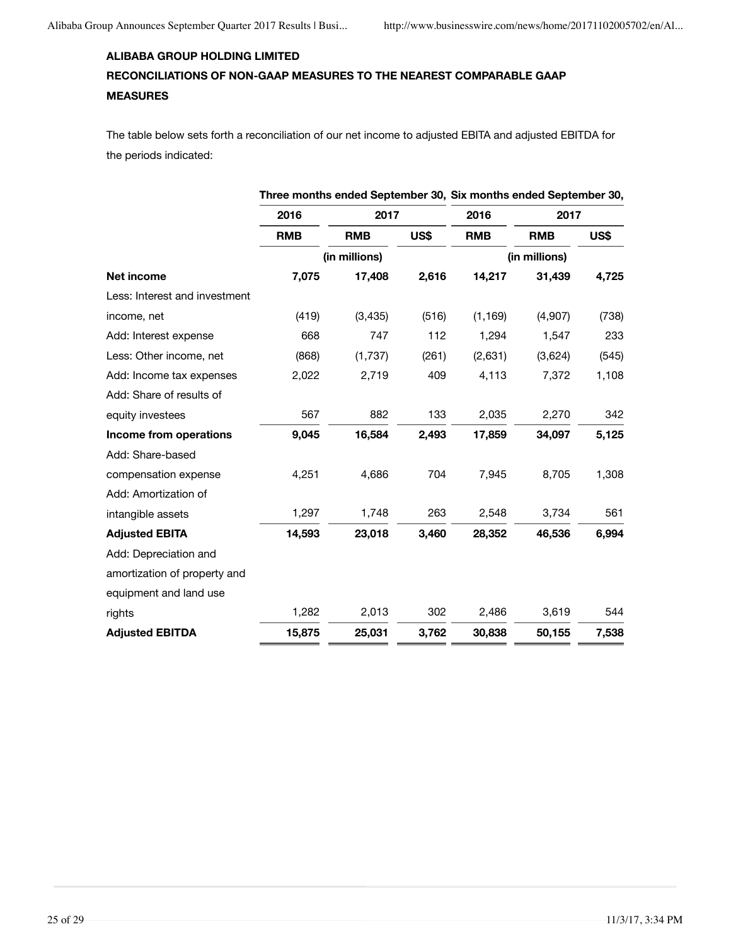# **ALIBABA GROUP HOLDING LIMITED RECONCILIATIONS OF NON-GAAP MEASURES TO THE NEAREST COMPARABLE GAAP MEASURES**

The table below sets forth a reconciliation of our net income to adjusted EBITA and adjusted EBITDA for the periods indicated:

|                               |            |               |       |            | Three months ended September 30, Six months ended September 30, |       |  |
|-------------------------------|------------|---------------|-------|------------|-----------------------------------------------------------------|-------|--|
|                               | 2016       | 2017          |       | 2016       | 2017                                                            |       |  |
|                               | <b>RMB</b> | <b>RMB</b>    | US\$  | <b>RMB</b> | <b>RMB</b>                                                      | US\$  |  |
|                               |            | (in millions) |       |            | (in millions)                                                   |       |  |
| Net income                    | 7,075      | 17,408        | 2,616 | 14,217     | 31,439                                                          | 4,725 |  |
| Less: Interest and investment |            |               |       |            |                                                                 |       |  |
| income, net                   | (419)      | (3, 435)      | (516) | (1, 169)   | (4,907)                                                         | (738) |  |
| Add: Interest expense         | 668        | 747           | 112   | 1,294      | 1,547                                                           | 233   |  |
| Less: Other income, net       | (868)      | (1,737)       | (261) | (2,631)    | (3,624)                                                         | (545) |  |
| Add: Income tax expenses      | 2,022      | 2,719         | 409   | 4,113      | 7,372                                                           | 1,108 |  |
| Add: Share of results of      |            |               |       |            |                                                                 |       |  |
| equity investees              | 567        | 882           | 133   | 2,035      | 2,270                                                           | 342   |  |
| Income from operations        | 9,045      | 16,584        | 2,493 | 17,859     | 34,097                                                          | 5,125 |  |
| Add: Share-based              |            |               |       |            |                                                                 |       |  |
| compensation expense          | 4,251      | 4,686         | 704   | 7,945      | 8,705                                                           | 1,308 |  |
| Add: Amortization of          |            |               |       |            |                                                                 |       |  |
| intangible assets             | 1,297      | 1,748         | 263   | 2,548      | 3,734                                                           | 561   |  |
| <b>Adjusted EBITA</b>         | 14,593     | 23,018        | 3,460 | 28,352     | 46,536                                                          | 6,994 |  |
| Add: Depreciation and         |            |               |       |            |                                                                 |       |  |
| amortization of property and  |            |               |       |            |                                                                 |       |  |
| equipment and land use        |            |               |       |            |                                                                 |       |  |
| rights                        | 1,282      | 2,013         | 302   | 2,486      | 3,619                                                           | 544   |  |
| <b>Adjusted EBITDA</b>        | 15,875     | 25,031        | 3,762 | 30,838     | 50,155                                                          | 7,538 |  |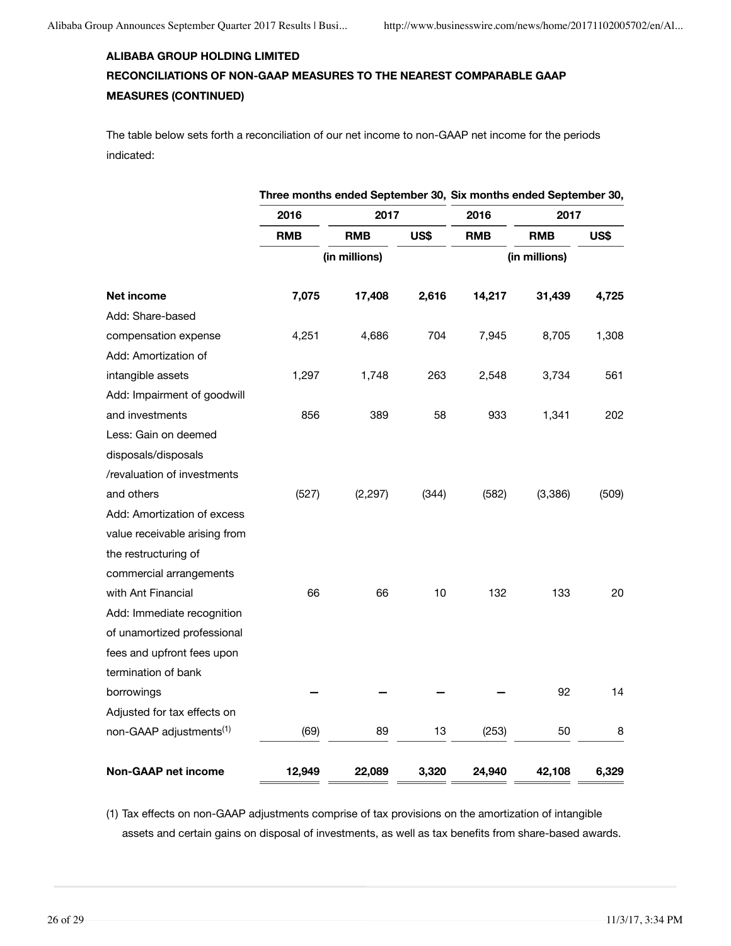# **ALIBABA GROUP HOLDING LIMITED RECONCILIATIONS OF NON-GAAP MEASURES TO THE NEAREST COMPARABLE GAAP MEASURES (CONTINUED)**

The table below sets forth a reconciliation of our net income to non-GAAP net income for the periods indicated:

|                                     | Three months ended September 30, Six months ended September 30, |            |               |            |            |       |
|-------------------------------------|-----------------------------------------------------------------|------------|---------------|------------|------------|-------|
|                                     | 2016                                                            | 2017       |               | 2016       | 2017       |       |
|                                     | <b>RMB</b>                                                      | <b>RMB</b> | US\$          | <b>RMB</b> | <b>RMB</b> | US\$  |
|                                     | (in millions)                                                   |            | (in millions) |            |            |       |
| Net income                          | 7,075                                                           | 17,408     | 2,616         | 14,217     | 31,439     | 4,725 |
| Add: Share-based                    |                                                                 |            |               |            |            |       |
| compensation expense                | 4,251                                                           | 4,686      | 704           | 7,945      | 8,705      | 1,308 |
| Add: Amortization of                |                                                                 |            |               |            |            |       |
| intangible assets                   | 1,297                                                           | 1,748      | 263           | 2,548      | 3,734      | 561   |
| Add: Impairment of goodwill         |                                                                 |            |               |            |            |       |
| and investments                     | 856                                                             | 389        | 58            | 933        | 1,341      | 202   |
| Less: Gain on deemed                |                                                                 |            |               |            |            |       |
| disposals/disposals                 |                                                                 |            |               |            |            |       |
| /revaluation of investments         |                                                                 |            |               |            |            |       |
| and others                          | (527)                                                           | (2, 297)   | (344)         | (582)      | (3,386)    | (509) |
| Add: Amortization of excess         |                                                                 |            |               |            |            |       |
| value receivable arising from       |                                                                 |            |               |            |            |       |
| the restructuring of                |                                                                 |            |               |            |            |       |
| commercial arrangements             |                                                                 |            |               |            |            |       |
| with Ant Financial                  | 66                                                              | 66         | 10            | 132        | 133        | 20    |
| Add: Immediate recognition          |                                                                 |            |               |            |            |       |
| of unamortized professional         |                                                                 |            |               |            |            |       |
| fees and upfront fees upon          |                                                                 |            |               |            |            |       |
| termination of bank                 |                                                                 |            |               |            |            |       |
| borrowings                          |                                                                 |            |               |            | 92         | 14    |
| Adjusted for tax effects on         |                                                                 |            |               |            |            |       |
| non-GAAP adjustments <sup>(1)</sup> | (69)                                                            | 89         | 13            | (253)      | 50         | 8     |
| <b>Non-GAAP net income</b>          | 12,949                                                          | 22,089     | 3,320         | 24,940     | 42,108     | 6,329 |

(1) Tax effects on non-GAAP adjustments comprise of tax provisions on the amortization of intangible assets and certain gains on disposal of investments, as well as tax benefits from share-based awards.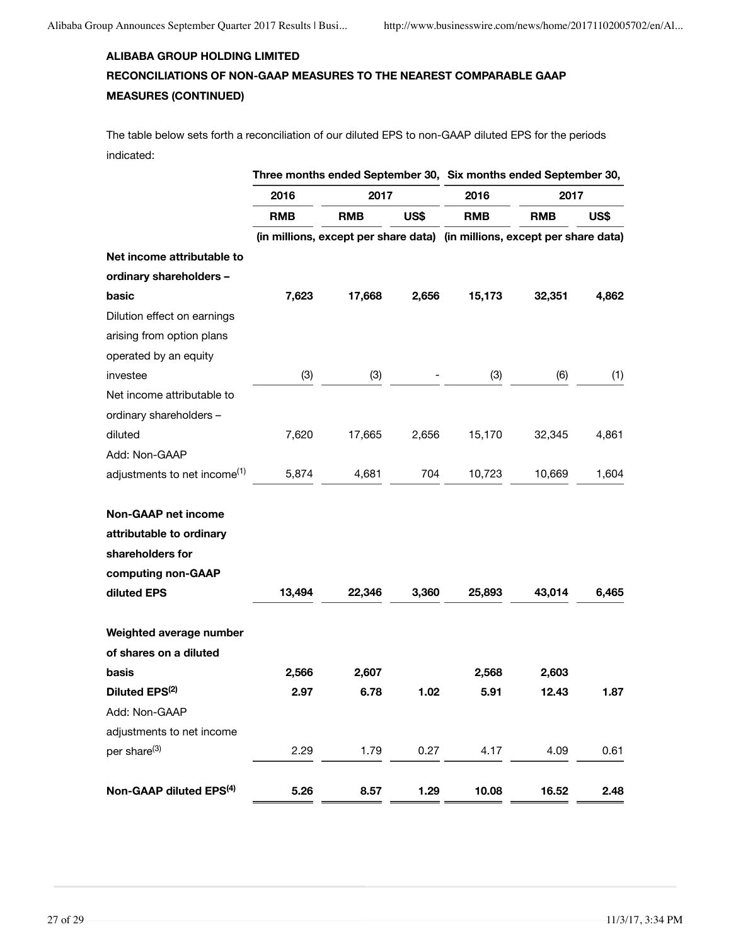# **ALIBABA GROUP HOLDING LIMITED RECONCILIATIONS OF NON-GAAP MEASURES TO THE NEAREST COMPARABLE GAAP MEASURES (CONTINUED)**

The table below sets forth a reconciliation of our diluted EPS to non-GAAP diluted EPS for the periods indicated:

|                                          | Three months ended September 30, Six months ended September 30, |                                                                           |       |            |            |       |
|------------------------------------------|-----------------------------------------------------------------|---------------------------------------------------------------------------|-------|------------|------------|-------|
|                                          | 2016                                                            | 2017                                                                      |       | 2016       | 2017       |       |
|                                          | <b>RMB</b>                                                      | <b>RMB</b>                                                                | US\$  | <b>RMB</b> | <b>RMB</b> | US\$  |
|                                          |                                                                 | (in millions, except per share data) (in millions, except per share data) |       |            |            |       |
| Net income attributable to               |                                                                 |                                                                           |       |            |            |       |
| ordinary shareholders -                  |                                                                 |                                                                           |       |            |            |       |
| basic                                    | 7,623                                                           | 17,668                                                                    | 2,656 | 15,173     | 32,351     | 4,862 |
| Dilution effect on earnings              |                                                                 |                                                                           |       |            |            |       |
| arising from option plans                |                                                                 |                                                                           |       |            |            |       |
| operated by an equity                    |                                                                 |                                                                           |       |            |            |       |
| investee                                 | (3)                                                             | (3)                                                                       |       | (3)        | (6)        | (1)   |
| Net income attributable to               |                                                                 |                                                                           |       |            |            |       |
| ordinary shareholders -                  |                                                                 |                                                                           |       |            |            |       |
| diluted                                  | 7,620                                                           | 17,665                                                                    | 2,656 | 15,170     | 32,345     | 4,861 |
| Add: Non-GAAP                            |                                                                 |                                                                           |       |            |            |       |
| adjustments to net income <sup>(1)</sup> | 5,874                                                           | 4,681                                                                     | 704   | 10,723     | 10,669     | 1,604 |
|                                          |                                                                 |                                                                           |       |            |            |       |
| <b>Non-GAAP net income</b>               |                                                                 |                                                                           |       |            |            |       |
| attributable to ordinary                 |                                                                 |                                                                           |       |            |            |       |
| shareholders for                         |                                                                 |                                                                           |       |            |            |       |
| computing non-GAAP                       |                                                                 |                                                                           |       |            |            |       |
| diluted EPS                              | 13,494                                                          | 22,346                                                                    | 3,360 | 25,893     | 43,014     | 6,465 |
| Weighted average number                  |                                                                 |                                                                           |       |            |            |       |
| of shares on a diluted                   |                                                                 |                                                                           |       |            |            |       |
| basis                                    | 2,566                                                           | 2,607                                                                     |       | 2,568      | 2,603      |       |
| Diluted EPS <sup>(2)</sup>               | 2.97                                                            | 6.78                                                                      | 1.02  | 5.91       | 12.43      | 1.87  |
| Add: Non-GAAP                            |                                                                 |                                                                           |       |            |            |       |
| adjustments to net income                |                                                                 |                                                                           |       |            |            |       |
| per share <sup>(3)</sup>                 | 2.29                                                            | 1.79                                                                      | 0.27  | 4.17       | 4.09       | 0.61  |
|                                          |                                                                 |                                                                           |       |            |            |       |
| Non-GAAP diluted EPS <sup>(4)</sup>      | 5.26                                                            | 8.57                                                                      | 1.29  | 10.08      | 16.52      | 2.48  |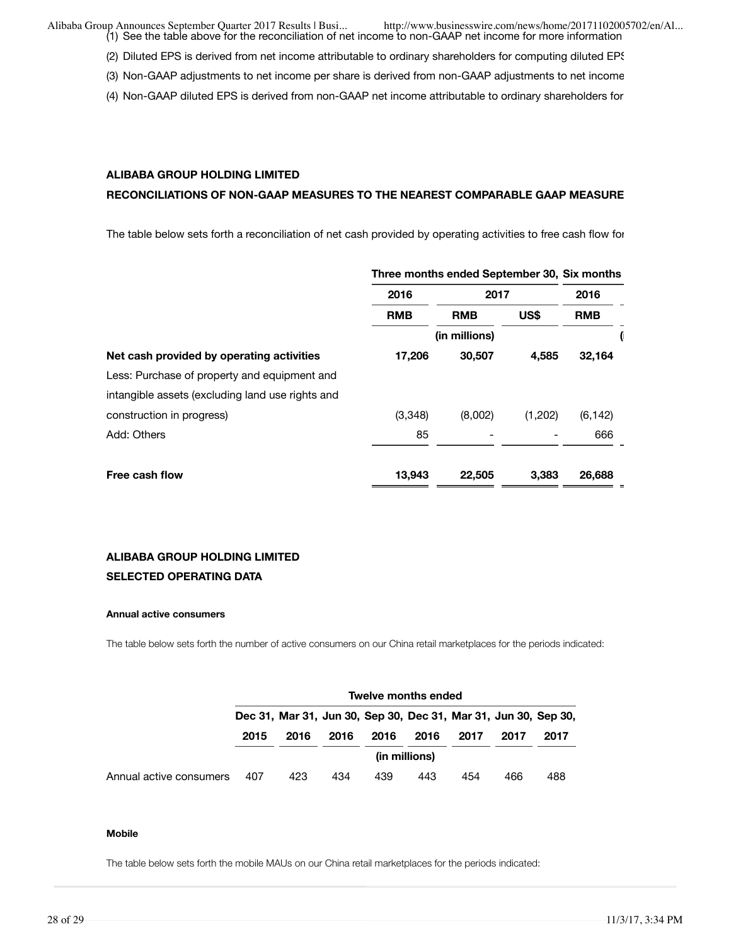(1) See the table above for the reconciliation of net income to non-GAAP net income for more information Alibaba Group Announces September Quarter 2017 Results | Busi... http://www.businesswire.com/news/home/20171102005702/en/Al...

- (2) Diluted EPS is derived from net income attributable to ordinary shareholders for computing diluted EPS
- (3) Non-GAAP adjustments to net income per share is derived from non-GAAP adjustments to net income
- (4) Non-GAAP diluted EPS is derived from non-GAAP net income attributable to ordinary shareholders for

### **ALIBABA GROUP HOLDING LIMITED**

#### RECONCILIATIONS OF NON-GAAP MEASURES TO THE NEAREST COMPARABLE GAAP MEASURE

The table below sets forth a reconciliation of net cash provided by operating activities to free cash flow for

|                                                  | Three months ended September 30, Six months |               |         |            |  |  |
|--------------------------------------------------|---------------------------------------------|---------------|---------|------------|--|--|
|                                                  | 2016                                        | 2017          |         | 2016       |  |  |
|                                                  | <b>RMB</b>                                  | <b>RMB</b>    | US\$    | <b>RMB</b> |  |  |
|                                                  |                                             | (in millions) |         | V          |  |  |
| Net cash provided by operating activities        | 17,206                                      | 30,507        | 4,585   | 32,164     |  |  |
| Less: Purchase of property and equipment and     |                                             |               |         |            |  |  |
| intangible assets (excluding land use rights and |                                             |               |         |            |  |  |
| construction in progress)                        | (3,348)                                     | (8,002)       | (1,202) | (6, 142)   |  |  |
| Add: Others                                      | 85                                          |               |         | 666        |  |  |
|                                                  |                                             |               |         |            |  |  |
| Free cash flow                                   | 13,943                                      | 22,505        | 3,383   | 26,688     |  |  |

### **ALIBABA GROUP HOLDING LIMITED SELECTED OPERATING DATA**

#### **Annual active consumers**

The table below sets forth the number of active consumers on our China retail marketplaces for the periods indicated:

|                         | <b>Twelve months ended</b>                                      |                                                      |     |     |               |     |     |     |  |  |  |  |
|-------------------------|-----------------------------------------------------------------|------------------------------------------------------|-----|-----|---------------|-----|-----|-----|--|--|--|--|
|                         | Dec 31, Mar 31, Jun 30, Sep 30, Dec 31, Mar 31, Jun 30, Sep 30, |                                                      |     |     |               |     |     |     |  |  |  |  |
|                         | 2015                                                            | 2016<br>2016<br>2016<br>2016<br>2017<br>2017<br>2017 |     |     |               |     |     |     |  |  |  |  |
|                         |                                                                 |                                                      |     |     | (in millions) |     |     |     |  |  |  |  |
| Annual active consumers | 407                                                             | 423                                                  | 434 | 439 | 443           | 454 | 466 | 488 |  |  |  |  |

#### **Mobile**

The table below sets forth the mobile MAUs on our China retail marketplaces for the periods indicated: